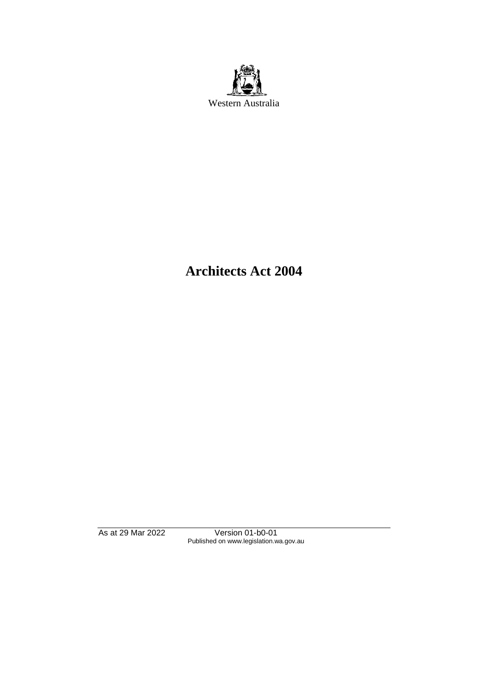

# **Architects Act 2004**

As at 29 Mar 2022 Version 01-b0-01 Published on www.legislation.wa.gov.au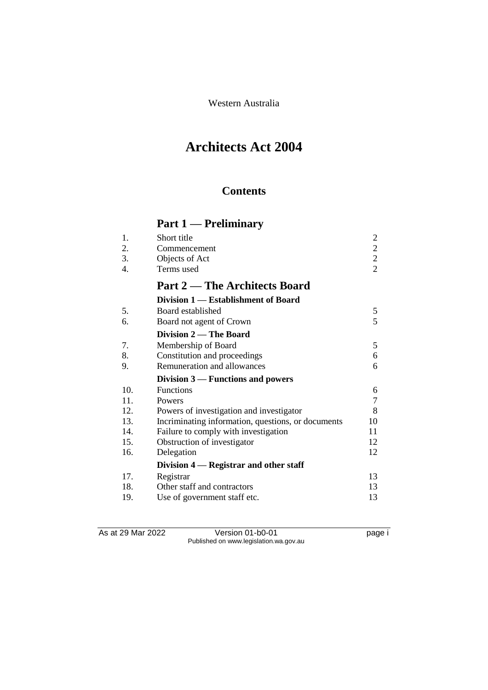Western Australia

# **Architects Act 2004**

# **Contents**

# **Part 1 — Preliminary**

| 1.  | Short title                                        | $\overline{2}$ |
|-----|----------------------------------------------------|----------------|
| 2.  | Commencement                                       | $\overline{c}$ |
| 3.  | Objects of Act                                     | $\frac{2}{2}$  |
| 4.  | Terms used                                         |                |
|     | <b>Part 2 — The Architects Board</b>               |                |
|     | Division 1 — Establishment of Board                |                |
| 5.  | Board established                                  | 5              |
| 6.  | Board not agent of Crown                           | 5              |
|     | Division 2 — The Board                             |                |
| 7.  | Membership of Board                                | 5              |
| 8.  | Constitution and proceedings                       | 6              |
| 9.  | Remuneration and allowances                        | 6              |
|     | Division $3$ — Functions and powers                |                |
| 10. | <b>Functions</b>                                   | 6              |
| 11. | Powers                                             | 7              |
| 12. | Powers of investigation and investigator           | 8              |
| 13. | Incriminating information, questions, or documents | 10             |
| 14. | Failure to comply with investigation               | 11             |
| 15. | Obstruction of investigator                        | 12             |
| 16. | Delegation                                         | 12             |
|     | Division 4 – Registrar and other staff             |                |
| 17. | Registrar                                          | 13             |
| 18. | Other staff and contractors                        | 13             |
| 19. | Use of government staff etc.                       | 13             |

As at 29 Mar 2022 Version 01-b0-01 page i Published on www.legislation.wa.gov.au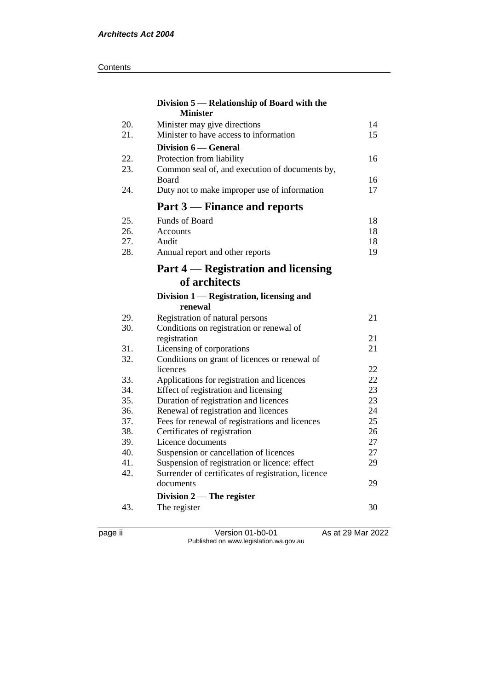#### **Contents**

|            | Division 5 — Relationship of Board with the         |          |
|------------|-----------------------------------------------------|----------|
| 20.        | <b>Minister</b><br>Minister may give directions     | 14       |
| 21.        | Minister to have access to information              | 15       |
|            | Division 6 — General                                |          |
| 22.        | Protection from liability                           | 16       |
| 23.        | Common seal of, and execution of documents by,      |          |
|            | <b>Board</b>                                        | 16       |
| 24.        | Duty not to make improper use of information        | 17       |
|            | Part 3 – Finance and reports                        |          |
| 25.        | <b>Funds of Board</b>                               | 18       |
| 26.        | Accounts                                            | 18       |
| 27.        | Audit                                               | 18       |
| 28.        | Annual report and other reports                     | 19       |
|            | Part 4 — Registration and licensing                 |          |
|            | of architects                                       |          |
|            | Division 1 — Registration, licensing and<br>renewal |          |
| 29.        | Registration of natural persons                     | 21       |
| 30.        | Conditions on registration or renewal of            |          |
|            | registration                                        | 21       |
| 31.        | Licensing of corporations                           | 21       |
| 32.        | Conditions on grant of licences or renewal of       |          |
|            | licences                                            | 22       |
| 33.        | Applications for registration and licences          | 22       |
| 34.        | Effect of registration and licensing                | 23       |
| 35.        | Duration of registration and licences               | 23       |
| 36.        | Renewal of registration and licences                | 24       |
| 37.<br>38. | Fees for renewal of registrations and licences      | 25<br>26 |
| 39.        | Certificates of registration<br>Licence documents   | 27       |
| 40.        | Suspension or cancellation of licences              | 27       |
| 41.        | Suspension of registration or licence: effect       | 29       |
| 42.        | Surrender of certificates of registration, licence  |          |
|            | documents                                           | 29       |
|            | Division $2$ — The register                         |          |
| 43.        | The register                                        | 30       |
|            |                                                     |          |

page ii Version 01-b0-01 As at 29 Mar 2022 Published on www.legislation.wa.gov.au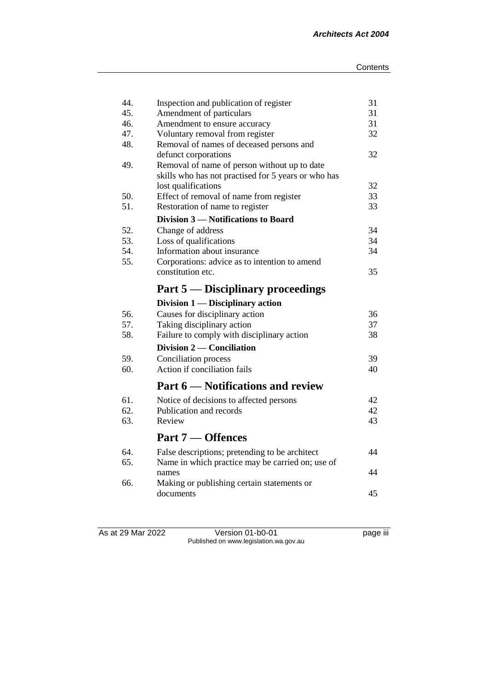| 44.        | Inspection and publication of register                       | 31       |
|------------|--------------------------------------------------------------|----------|
| 45.        | Amendment of particulars                                     | 31       |
| 46.        | Amendment to ensure accuracy                                 | 31       |
| 47.        | Voluntary removal from register                              | 32       |
| 48.        | Removal of names of deceased persons and                     |          |
|            | defunct corporations                                         | 32       |
| 49.        | Removal of name of person without up to date                 |          |
|            | skills who has not practised for 5 years or who has          |          |
|            | lost qualifications                                          | 32       |
| 50.        | Effect of removal of name from register                      | 33       |
| 51.        | Restoration of name to register                              | 33       |
|            | Division 3 – Notifications to Board                          |          |
| 52.        | Change of address                                            | 34       |
| 53.        | Loss of qualifications                                       | 34       |
| 54.        | Information about insurance                                  | 34       |
| 55.        | Corporations: advice as to intention to amend                |          |
|            | constitution etc.                                            | 35       |
|            | Part 5 — Disciplinary proceedings                            |          |
|            |                                                              |          |
|            | Division $1$ — Disciplinary action                           |          |
| 56.        |                                                              | 36       |
| 57.        | Causes for disciplinary action<br>Taking disciplinary action | 37       |
| 58.        | Failure to comply with disciplinary action                   | 38       |
|            | Division 2 — Conciliation                                    |          |
| 59.        |                                                              | 39       |
| 60.        | Conciliation process<br>Action if conciliation fails         | 40       |
|            | <b>Part 6 — Notifications and review</b>                     |          |
|            |                                                              |          |
| 61.<br>62. | Notice of decisions to affected persons                      | 42       |
| 63.        | Publication and records<br>Review                            | 42<br>43 |
|            | Part 7 — Offences                                            |          |
|            |                                                              |          |
| 64.        | False descriptions; pretending to be architect               | 44       |
| 65.        | Name in which practice may be carried on; use of             |          |
|            | names                                                        | 44       |
| 66.        | Making or publishing certain statements or<br>documents      | 45       |

As at 29 Mar 2022 Version 01-b0-01 page iii Published on www.legislation.wa.gov.au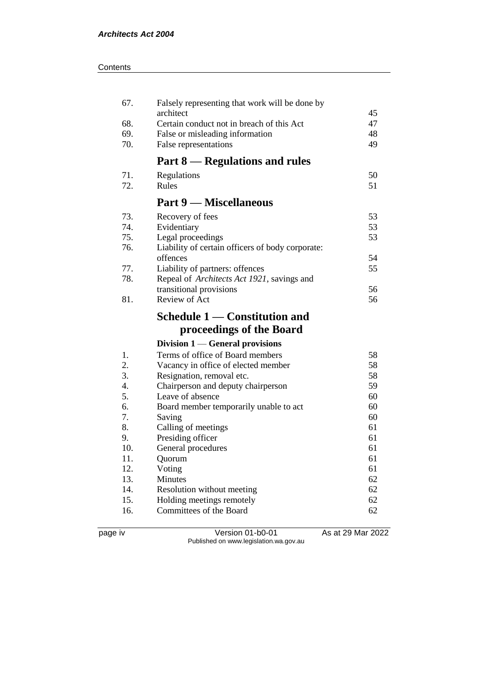| 67.        | Falsely representing that work will be done by       |          |
|------------|------------------------------------------------------|----------|
|            | architect                                            | 45       |
| 68.        | Certain conduct not in breach of this Act            | 47<br>48 |
| 69.<br>70. | False or misleading information                      |          |
|            | False representations                                | 49       |
|            | Part 8 – Regulations and rules                       |          |
| 71.        | Regulations                                          | 50       |
| 72.        | Rules                                                | 51       |
|            | <b>Part 9 – Miscellaneous</b>                        |          |
| 73.        | Recovery of fees                                     | 53       |
| 74.        | Evidentiary                                          | 53       |
| 75.        | Legal proceedings                                    | 53       |
| 76.        | Liability of certain officers of body corporate:     |          |
|            | offences                                             | 54       |
| 77.        | Liability of partners: offences                      | 55       |
| 78.        | Repeal of Architects Act 1921, savings and           |          |
|            | transitional provisions                              | 56       |
| 81.        | Review of Act                                        | 56       |
|            |                                                      |          |
|            | Schedule 1 — Constitution and                        |          |
|            | proceedings of the Board                             |          |
|            | Division $1$ — General provisions                    |          |
| 1.         | Terms of office of Board members                     | 58       |
| 2.         | Vacancy in office of elected member                  | 58       |
| 3.         | Resignation, removal etc.                            | 58       |
| 4.         | Chairperson and deputy chairperson                   | 59       |
| 5.         | Leave of absence                                     | 60       |
| 6.         | Board member temporarily unable to act               | 60       |
| 7.         | Saving                                               | 60       |
| 8.         | Calling of meetings                                  | 61       |
| 9.         | Presiding officer                                    | 61       |
| 10.        | General procedures                                   | 61       |
| 11.        | Quorum                                               | 61       |
| 12.        | Voting                                               | 61       |
| 13.        | <b>Minutes</b>                                       | 62       |
| 14.        | Resolution without meeting                           | 62       |
| 15.<br>16. | Holding meetings remotely<br>Committees of the Board | 62<br>62 |

page iv Version 01-b0-01 As at 29 Mar 2022 Published on www.legislation.wa.gov.au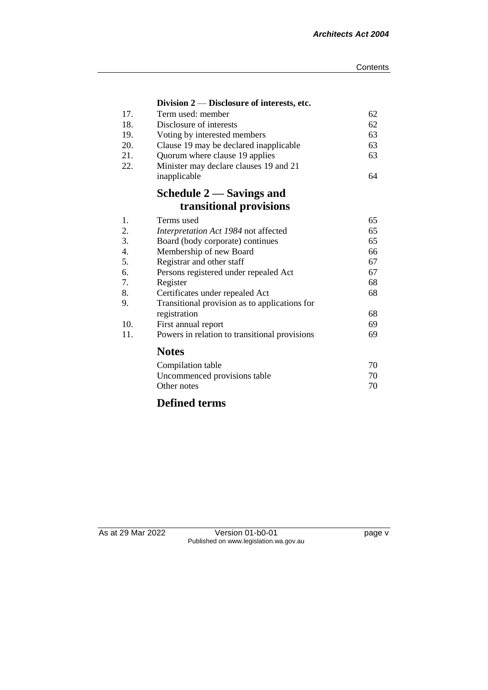|     | Division $2$ — Disclosure of interests, etc.  |    |
|-----|-----------------------------------------------|----|
| 17. | Term used: member                             | 62 |
| 18. | Disclosure of interests                       | 62 |
| 19. | Voting by interested members                  | 63 |
| 20. | Clause 19 may be declared inapplicable        | 63 |
| 21. | Quorum where clause 19 applies                | 63 |
| 22. | Minister may declare clauses 19 and 21        |    |
|     | inapplicable                                  | 64 |
|     | Schedule 2 — Savings and                      |    |
|     | transitional provisions                       |    |
| 1.  | Terms used                                    | 65 |
| 2.  | Interpretation Act 1984 not affected          | 65 |
| 3.  | Board (body corporate) continues              | 65 |
| 4.  | Membership of new Board                       | 66 |
| 5.  | Registrar and other staff                     | 67 |
| 6.  | Persons registered under repealed Act         | 67 |
| 7.  | Register                                      | 68 |
| 8.  | Certificates under repealed Act               | 68 |
| 9.  | Transitional provision as to applications for |    |
|     | registration                                  | 68 |
| 10. | First annual report                           | 69 |
| 11. | Powers in relation to transitional provisions | 69 |
|     | <b>Notes</b>                                  |    |
|     | Compilation table                             | 70 |
|     | Uncommenced provisions table                  | 70 |
|     | Other notes                                   | 70 |
|     |                                               |    |

# **Defined terms**

As at 29 Mar 2022 Version 01-b0-01 page v Published on www.legislation.wa.gov.au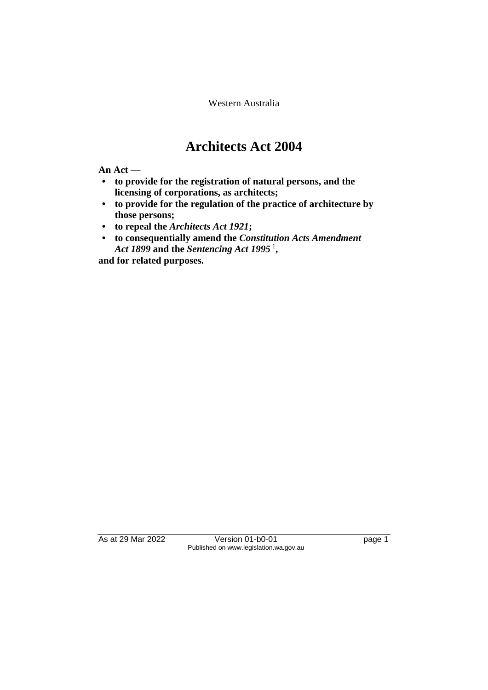Western Australia

# **Architects Act 2004**

**An Act —**

- **• to provide for the registration of natural persons, and the licensing of corporations, as architects;**
- **• to provide for the regulation of the practice of architecture by those persons;**
- **• to repeal the** *Architects Act 1921***;**
- **• to consequentially amend the** *Constitution Acts Amendment Act 1899* **and the** *Sentencing Act 1995* <sup>1</sup> **,**

**and for related purposes.**

As at 29 Mar 2022 Version 01-b0-01 Page 1 Published on www.legislation.wa.gov.au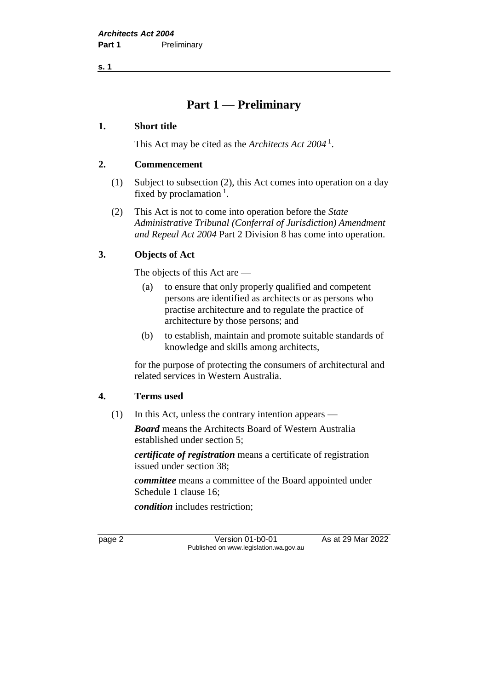**s. 1**

# **Part 1 — Preliminary**

#### **1. Short title**

This Act may be cited as the *Architects Act 2004* <sup>1</sup> .

#### **2. Commencement**

- (1) Subject to subsection (2), this Act comes into operation on a day fixed by proclamation<sup>1</sup>.
- (2) This Act is not to come into operation before the *State Administrative Tribunal (Conferral of Jurisdiction) Amendment and Repeal Act 2004* Part 2 Division 8 has come into operation.

## **3. Objects of Act**

The objects of this Act are —

- (a) to ensure that only properly qualified and competent persons are identified as architects or as persons who practise architecture and to regulate the practice of architecture by those persons; and
- (b) to establish, maintain and promote suitable standards of knowledge and skills among architects,

for the purpose of protecting the consumers of architectural and related services in Western Australia.

## **4. Terms used**

(1) In this Act, unless the contrary intention appears —

*Board* means the Architects Board of Western Australia established under section 5;

*certificate of registration* means a certificate of registration issued under section 38;

*committee* means a committee of the Board appointed under Schedule 1 clause 16;

*condition* includes restriction;

page 2 Version 01-b0-01 As at 29 Mar 2022 Published on www.legislation.wa.gov.au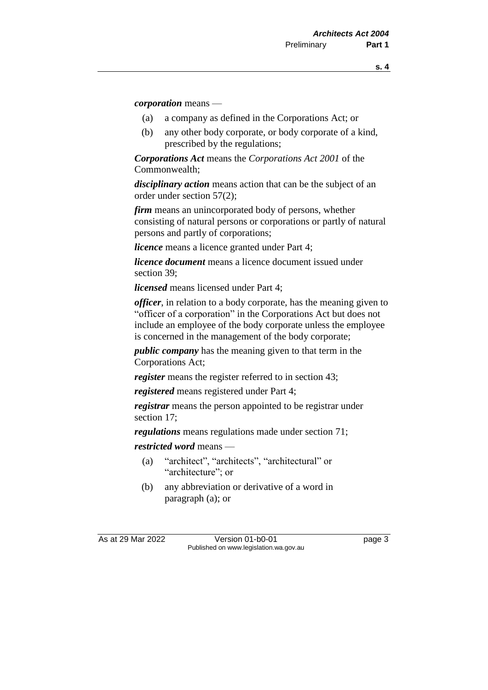*corporation* means —

- (a) a company as defined in the Corporations Act; or
- (b) any other body corporate, or body corporate of a kind, prescribed by the regulations;

*Corporations Act* means the *Corporations Act 2001* of the Commonwealth;

*disciplinary action* means action that can be the subject of an order under section 57(2);

*firm* means an unincorporated body of persons, whether consisting of natural persons or corporations or partly of natural persons and partly of corporations;

*licence* means a licence granted under Part 4;

*licence document* means a licence document issued under section 39;

*licensed* means licensed under Part 4;

*officer*, in relation to a body corporate, has the meaning given to "officer of a corporation" in the Corporations Act but does not include an employee of the body corporate unless the employee is concerned in the management of the body corporate;

*public company* has the meaning given to that term in the Corporations Act;

*register* means the register referred to in section 43;

*registered* means registered under Part 4;

*registrar* means the person appointed to be registrar under section 17;

*regulations* means regulations made under section 71;

*restricted word* means —

- (a) "architect", "architects", "architectural" or "architecture": or
- (b) any abbreviation or derivative of a word in paragraph (a); or

As at 29 Mar 2022 Version 01-b0-01 Page 3 Published on www.legislation.wa.gov.au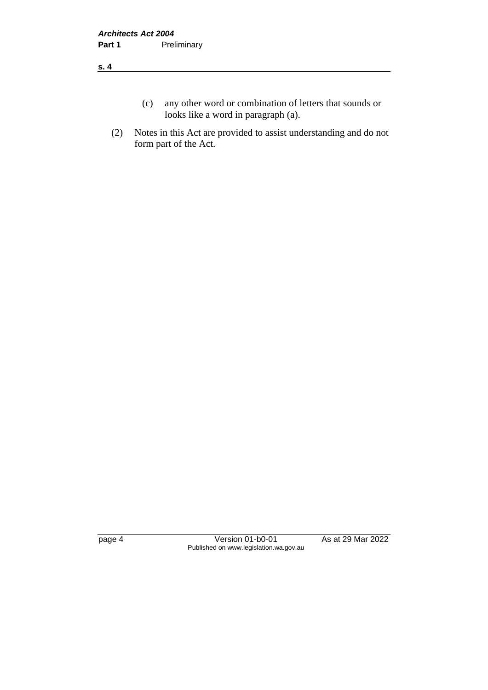#### **s. 4**

- (c) any other word or combination of letters that sounds or looks like a word in paragraph (a).
- (2) Notes in this Act are provided to assist understanding and do not form part of the Act.

page 4 Version 01-b0-01 As at 29 Mar 2022 Published on www.legislation.wa.gov.au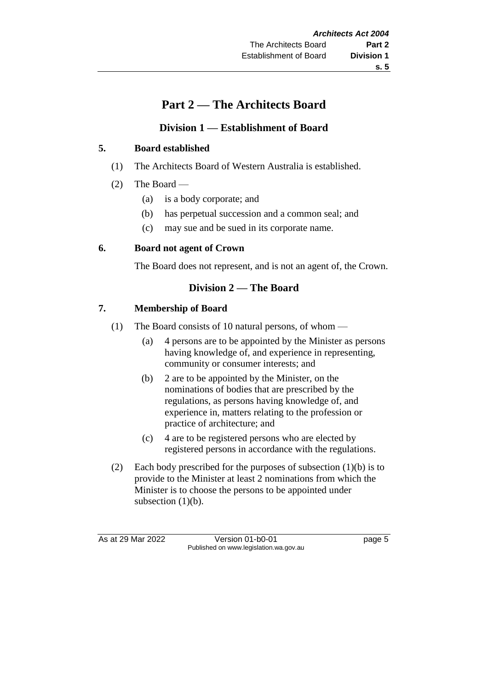# **s. 5**

# **Part 2 — The Architects Board**

## **Division 1 — Establishment of Board**

## **5. Board established**

- (1) The Architects Board of Western Australia is established.
- (2) The Board
	- (a) is a body corporate; and
	- (b) has perpetual succession and a common seal; and
	- (c) may sue and be sued in its corporate name.

## **6. Board not agent of Crown**

The Board does not represent, and is not an agent of, the Crown.

## **Division 2 — The Board**

## **7. Membership of Board**

- (1) The Board consists of 10 natural persons, of whom
	- (a) 4 persons are to be appointed by the Minister as persons having knowledge of, and experience in representing, community or consumer interests; and
	- (b) 2 are to be appointed by the Minister, on the nominations of bodies that are prescribed by the regulations, as persons having knowledge of, and experience in, matters relating to the profession or practice of architecture; and
	- (c) 4 are to be registered persons who are elected by registered persons in accordance with the regulations.
- (2) Each body prescribed for the purposes of subsection (1)(b) is to provide to the Minister at least 2 nominations from which the Minister is to choose the persons to be appointed under subsection  $(1)(b)$ .

As at 29 Mar 2022 Version 01-b0-01 Page 5 Published on www.legislation.wa.gov.au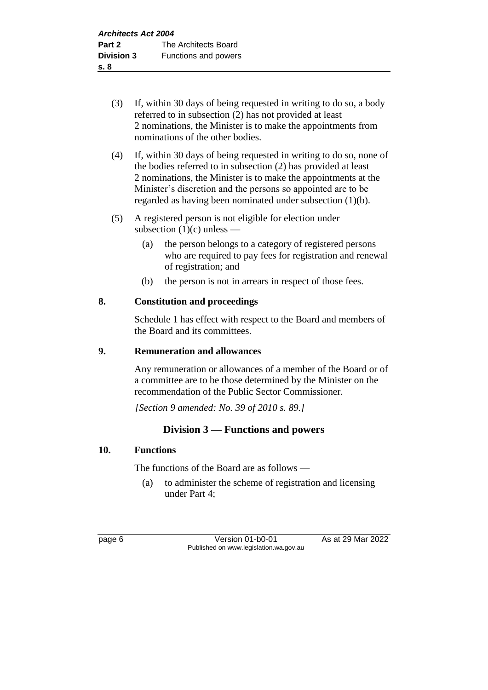- (3) If, within 30 days of being requested in writing to do so, a body referred to in subsection (2) has not provided at least 2 nominations, the Minister is to make the appointments from nominations of the other bodies.
- (4) If, within 30 days of being requested in writing to do so, none of the bodies referred to in subsection (2) has provided at least 2 nominations, the Minister is to make the appointments at the Minister's discretion and the persons so appointed are to be regarded as having been nominated under subsection (1)(b).
- (5) A registered person is not eligible for election under subsection  $(1)(c)$  unless —
	- (a) the person belongs to a category of registered persons who are required to pay fees for registration and renewal of registration; and
	- (b) the person is not in arrears in respect of those fees.

## **8. Constitution and proceedings**

Schedule 1 has effect with respect to the Board and members of the Board and its committees.

## **9. Remuneration and allowances**

Any remuneration or allowances of a member of the Board or of a committee are to be those determined by the Minister on the recommendation of the Public Sector Commissioner.

*[Section 9 amended: No. 39 of 2010 s. 89.]*

## **Division 3 — Functions and powers**

## **10. Functions**

The functions of the Board are as follows —

(a) to administer the scheme of registration and licensing under Part 4;

page 6 Version 01-b0-01 As at 29 Mar 2022 Published on www.legislation.wa.gov.au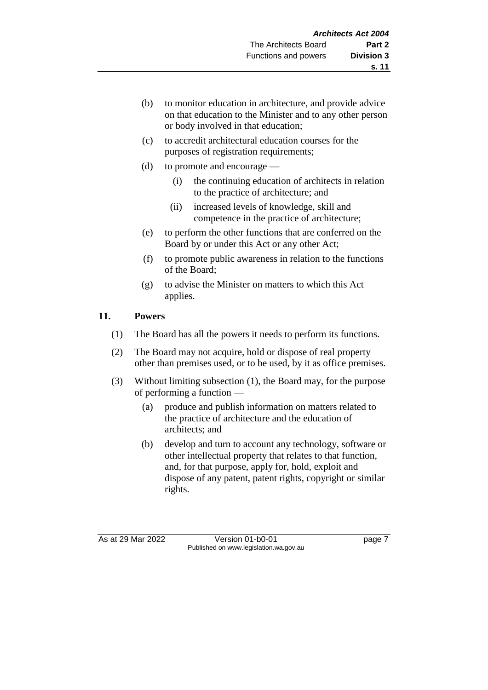- (b) to monitor education in architecture, and provide advice on that education to the Minister and to any other person or body involved in that education;
- (c) to accredit architectural education courses for the purposes of registration requirements;
- (d) to promote and encourage
	- (i) the continuing education of architects in relation to the practice of architecture; and
	- (ii) increased levels of knowledge, skill and competence in the practice of architecture;
- (e) to perform the other functions that are conferred on the Board by or under this Act or any other Act;
- (f) to promote public awareness in relation to the functions of the Board;
- (g) to advise the Minister on matters to which this Act applies.

## **11. Powers**

- (1) The Board has all the powers it needs to perform its functions.
- (2) The Board may not acquire, hold or dispose of real property other than premises used, or to be used, by it as office premises.
- (3) Without limiting subsection (1), the Board may, for the purpose of performing a function —
	- (a) produce and publish information on matters related to the practice of architecture and the education of architects; and
	- (b) develop and turn to account any technology, software or other intellectual property that relates to that function, and, for that purpose, apply for, hold, exploit and dispose of any patent, patent rights, copyright or similar rights.

As at 29 Mar 2022 Version 01-b0-01 page 7 Published on www.legislation.wa.gov.au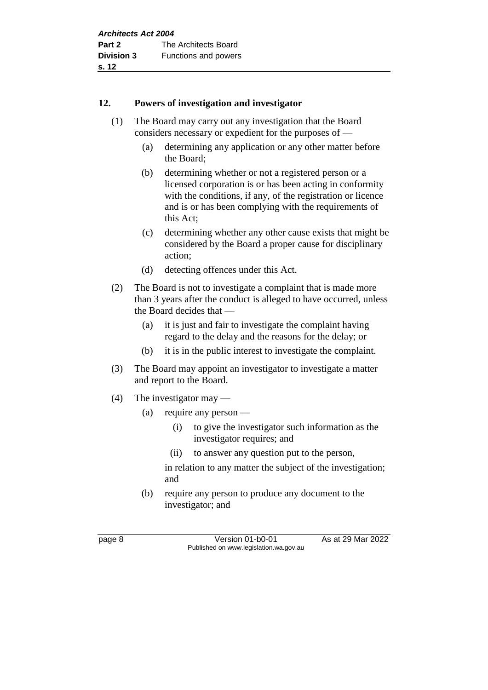#### **12. Powers of investigation and investigator**

- (1) The Board may carry out any investigation that the Board considers necessary or expedient for the purposes of —
	- (a) determining any application or any other matter before the Board;
	- (b) determining whether or not a registered person or a licensed corporation is or has been acting in conformity with the conditions, if any, of the registration or licence and is or has been complying with the requirements of this Act;
	- (c) determining whether any other cause exists that might be considered by the Board a proper cause for disciplinary action;
	- (d) detecting offences under this Act.
- (2) The Board is not to investigate a complaint that is made more than 3 years after the conduct is alleged to have occurred, unless the Board decides that —
	- (a) it is just and fair to investigate the complaint having regard to the delay and the reasons for the delay; or
	- (b) it is in the public interest to investigate the complaint.
- (3) The Board may appoint an investigator to investigate a matter and report to the Board.
- (4) The investigator may
	- (a) require any person
		- (i) to give the investigator such information as the investigator requires; and
		- (ii) to answer any question put to the person,

in relation to any matter the subject of the investigation; and

(b) require any person to produce any document to the investigator; and

page 8 Version 01-b0-01 As at 29 Mar 2022 Published on www.legislation.wa.gov.au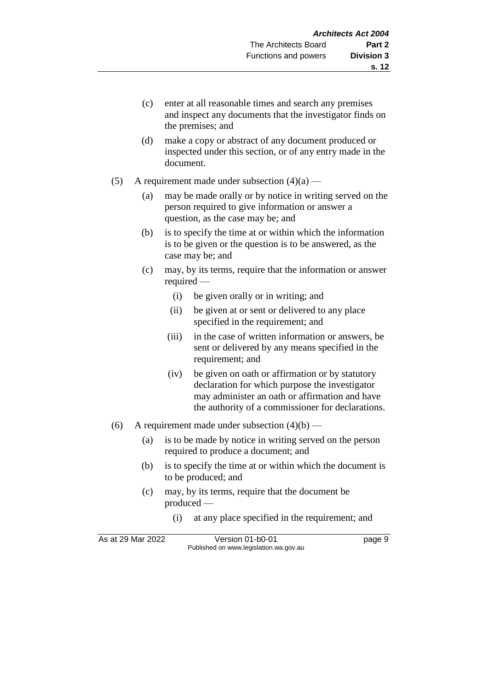- (c) enter at all reasonable times and search any premises and inspect any documents that the investigator finds on the premises; and
- (d) make a copy or abstract of any document produced or inspected under this section, or of any entry made in the document.
- (5) A requirement made under subsection  $(4)(a)$ 
	- (a) may be made orally or by notice in writing served on the person required to give information or answer a question, as the case may be; and
	- (b) is to specify the time at or within which the information is to be given or the question is to be answered, as the case may be; and
	- (c) may, by its terms, require that the information or answer required —
		- (i) be given orally or in writing; and
		- (ii) be given at or sent or delivered to any place specified in the requirement; and
		- (iii) in the case of written information or answers, be sent or delivered by any means specified in the requirement; and
		- (iv) be given on oath or affirmation or by statutory declaration for which purpose the investigator may administer an oath or affirmation and have the authority of a commissioner for declarations.
- (6) A requirement made under subsection  $(4)(b)$ 
	- (a) is to be made by notice in writing served on the person required to produce a document; and
	- (b) is to specify the time at or within which the document is to be produced; and
	- (c) may, by its terms, require that the document be produced —
		- (i) at any place specified in the requirement; and

As at 29 Mar 2022 Version 01-b0-01 page 9 Published on www.legislation.wa.gov.au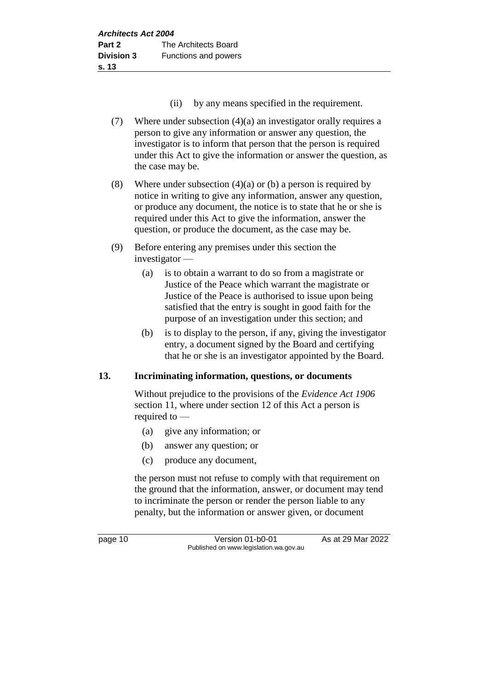- (ii) by any means specified in the requirement.
- (7) Where under subsection (4)(a) an investigator orally requires a person to give any information or answer any question, the investigator is to inform that person that the person is required under this Act to give the information or answer the question, as the case may be.
- (8) Where under subsection  $(4)(a)$  or (b) a person is required by notice in writing to give any information, answer any question, or produce any document, the notice is to state that he or she is required under this Act to give the information, answer the question, or produce the document, as the case may be.
- (9) Before entering any premises under this section the investigator —
	- (a) is to obtain a warrant to do so from a magistrate or Justice of the Peace which warrant the magistrate or Justice of the Peace is authorised to issue upon being satisfied that the entry is sought in good faith for the purpose of an investigation under this section; and
	- (b) is to display to the person, if any, giving the investigator entry, a document signed by the Board and certifying that he or she is an investigator appointed by the Board.

## **13. Incriminating information, questions, or documents**

Without prejudice to the provisions of the *Evidence Act 1906*  section 11, where under section 12 of this Act a person is required to —

- (a) give any information; or
- (b) answer any question; or
- (c) produce any document,

the person must not refuse to comply with that requirement on the ground that the information, answer, or document may tend to incriminate the person or render the person liable to any penalty, but the information or answer given, or document

page 10 Version 01-b0-01 As at 29 Mar 2022 Published on www.legislation.wa.gov.au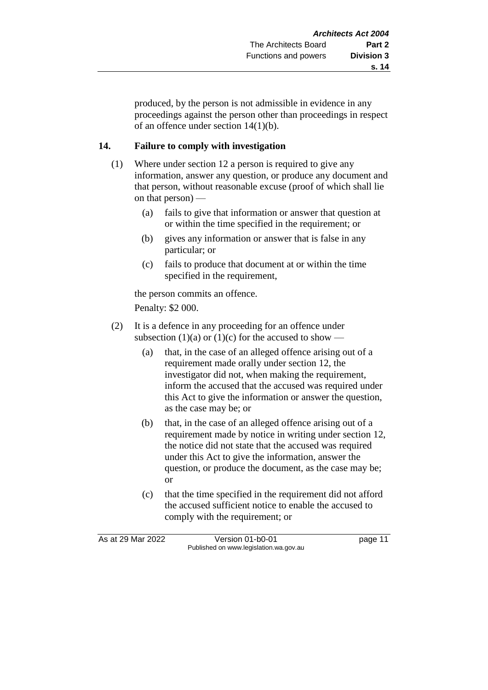produced, by the person is not admissible in evidence in any proceedings against the person other than proceedings in respect of an offence under section 14(1)(b).

## **14. Failure to comply with investigation**

- (1) Where under section 12 a person is required to give any information, answer any question, or produce any document and that person, without reasonable excuse (proof of which shall lie on that person) —
	- (a) fails to give that information or answer that question at or within the time specified in the requirement; or
	- (b) gives any information or answer that is false in any particular; or
	- (c) fails to produce that document at or within the time specified in the requirement,

the person commits an offence.

Penalty: \$2 000.

- (2) It is a defence in any proceeding for an offence under subsection (1)(a) or (1)(c) for the accused to show —
	- (a) that, in the case of an alleged offence arising out of a requirement made orally under section 12, the investigator did not, when making the requirement, inform the accused that the accused was required under this Act to give the information or answer the question, as the case may be; or
	- (b) that, in the case of an alleged offence arising out of a requirement made by notice in writing under section 12, the notice did not state that the accused was required under this Act to give the information, answer the question, or produce the document, as the case may be; or
	- (c) that the time specified in the requirement did not afford the accused sufficient notice to enable the accused to comply with the requirement; or

As at 29 Mar 2022 Version 01-b0-01 page 11 Published on www.legislation.wa.gov.au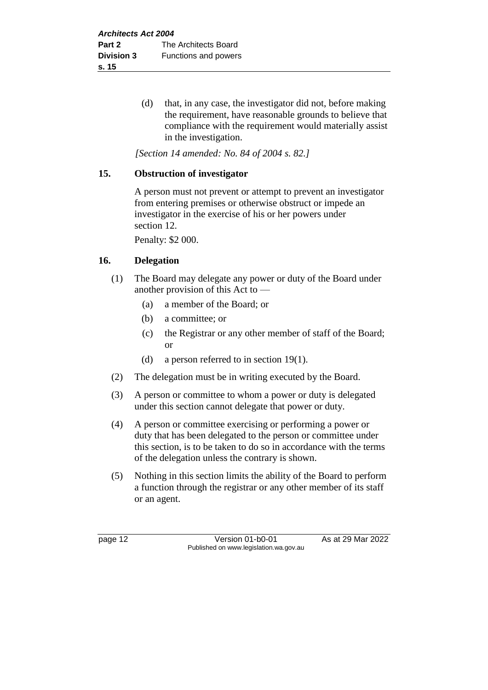(d) that, in any case, the investigator did not, before making the requirement, have reasonable grounds to believe that compliance with the requirement would materially assist in the investigation.

*[Section 14 amended: No. 84 of 2004 s. 82.]*

#### **15. Obstruction of investigator**

A person must not prevent or attempt to prevent an investigator from entering premises or otherwise obstruct or impede an investigator in the exercise of his or her powers under section 12.

Penalty: \$2 000.

#### **16. Delegation**

- (1) The Board may delegate any power or duty of the Board under another provision of this Act to —
	- (a) a member of the Board; or
	- (b) a committee; or
	- (c) the Registrar or any other member of staff of the Board; or
	- (d) a person referred to in section 19(1).
- (2) The delegation must be in writing executed by the Board.
- (3) A person or committee to whom a power or duty is delegated under this section cannot delegate that power or duty.
- (4) A person or committee exercising or performing a power or duty that has been delegated to the person or committee under this section, is to be taken to do so in accordance with the terms of the delegation unless the contrary is shown.
- (5) Nothing in this section limits the ability of the Board to perform a function through the registrar or any other member of its staff or an agent.

page 12 Version 01-b0-01 As at 29 Mar 2022 Published on www.legislation.wa.gov.au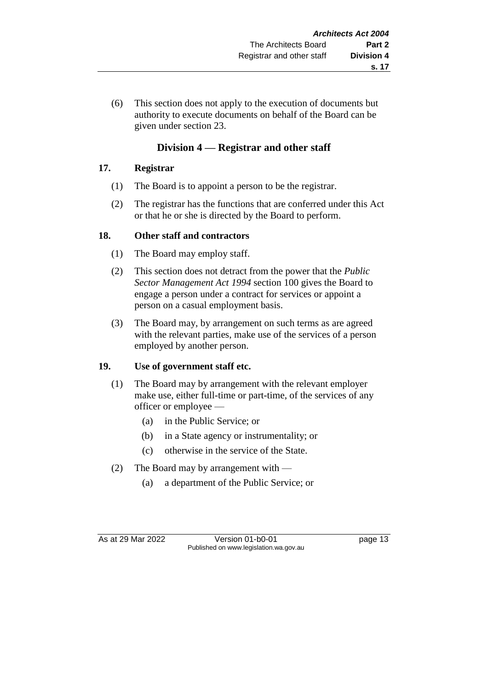(6) This section does not apply to the execution of documents but authority to execute documents on behalf of the Board can be given under section 23.

## **Division 4 — Registrar and other staff**

## **17. Registrar**

- (1) The Board is to appoint a person to be the registrar.
- (2) The registrar has the functions that are conferred under this Act or that he or she is directed by the Board to perform.

## **18. Other staff and contractors**

- (1) The Board may employ staff.
- (2) This section does not detract from the power that the *Public Sector Management Act 1994* section 100 gives the Board to engage a person under a contract for services or appoint a person on a casual employment basis.
- (3) The Board may, by arrangement on such terms as are agreed with the relevant parties, make use of the services of a person employed by another person.

## **19. Use of government staff etc.**

- (1) The Board may by arrangement with the relevant employer make use, either full-time or part-time, of the services of any officer or employee —
	- (a) in the Public Service; or
	- (b) in a State agency or instrumentality; or
	- (c) otherwise in the service of the State.
- (2) The Board may by arrangement with
	- (a) a department of the Public Service; or

As at 29 Mar 2022 Version 01-b0-01 page 13 Published on www.legislation.wa.gov.au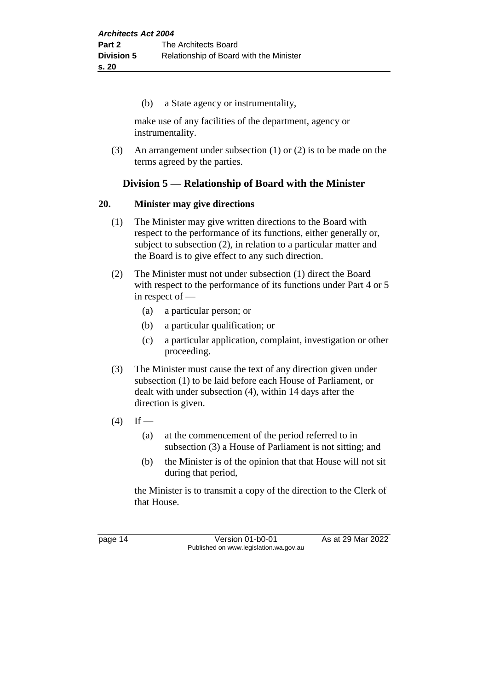(b) a State agency or instrumentality,

make use of any facilities of the department, agency or instrumentality.

(3) An arrangement under subsection (1) or (2) is to be made on the terms agreed by the parties.

## **Division 5 — Relationship of Board with the Minister**

#### **20. Minister may give directions**

- (1) The Minister may give written directions to the Board with respect to the performance of its functions, either generally or, subject to subsection (2), in relation to a particular matter and the Board is to give effect to any such direction.
- (2) The Minister must not under subsection (1) direct the Board with respect to the performance of its functions under Part 4 or 5 in respect of —
	- (a) a particular person; or
	- (b) a particular qualification; or
	- (c) a particular application, complaint, investigation or other proceeding.
- (3) The Minister must cause the text of any direction given under subsection (1) to be laid before each House of Parliament, or dealt with under subsection (4), within 14 days after the direction is given.
- $(4)$  If
	- (a) at the commencement of the period referred to in subsection (3) a House of Parliament is not sitting; and
	- (b) the Minister is of the opinion that that House will not sit during that period,

the Minister is to transmit a copy of the direction to the Clerk of that House.

page 14 Version 01-b0-01 As at 29 Mar 2022 Published on www.legislation.wa.gov.au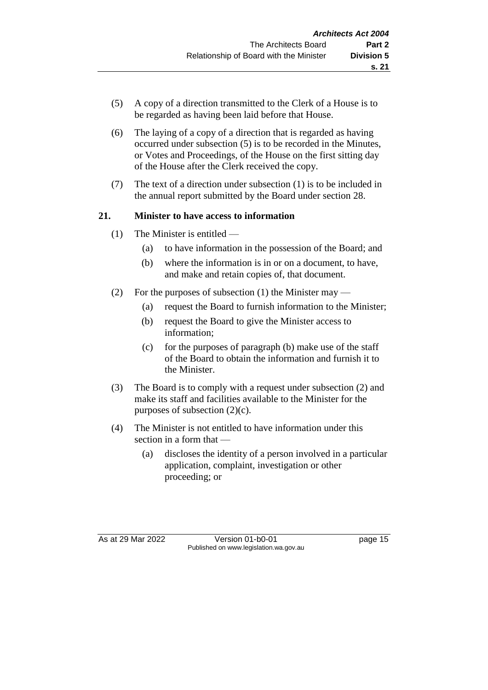- (5) A copy of a direction transmitted to the Clerk of a House is to be regarded as having been laid before that House.
- (6) The laying of a copy of a direction that is regarded as having occurred under subsection (5) is to be recorded in the Minutes, or Votes and Proceedings, of the House on the first sitting day of the House after the Clerk received the copy.
- (7) The text of a direction under subsection (1) is to be included in the annual report submitted by the Board under section 28.

## **21. Minister to have access to information**

- (1) The Minister is entitled
	- (a) to have information in the possession of the Board; and
	- (b) where the information is in or on a document, to have, and make and retain copies of, that document.
- (2) For the purposes of subsection (1) the Minister may
	- (a) request the Board to furnish information to the Minister;
	- (b) request the Board to give the Minister access to information;
	- (c) for the purposes of paragraph (b) make use of the staff of the Board to obtain the information and furnish it to the Minister.
- (3) The Board is to comply with a request under subsection (2) and make its staff and facilities available to the Minister for the purposes of subsection  $(2)(c)$ .
- (4) The Minister is not entitled to have information under this section in a form that —
	- (a) discloses the identity of a person involved in a particular application, complaint, investigation or other proceeding; or

As at 29 Mar 2022 Version 01-b0-01 page 15 Published on www.legislation.wa.gov.au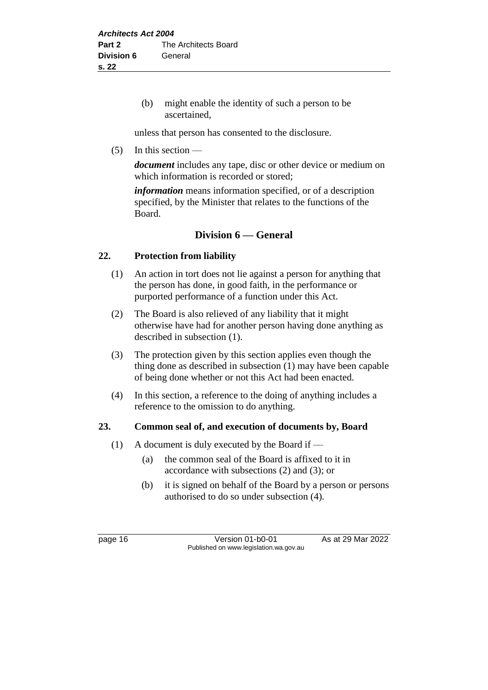(b) might enable the identity of such a person to be ascertained,

unless that person has consented to the disclosure.

 $(5)$  In this section —

*document* includes any tape, disc or other device or medium on which information is recorded or stored;

*information* means information specified, or of a description specified, by the Minister that relates to the functions of the Board.

## **Division 6 — General**

## **22. Protection from liability**

- (1) An action in tort does not lie against a person for anything that the person has done, in good faith, in the performance or purported performance of a function under this Act.
- (2) The Board is also relieved of any liability that it might otherwise have had for another person having done anything as described in subsection (1).
- (3) The protection given by this section applies even though the thing done as described in subsection (1) may have been capable of being done whether or not this Act had been enacted.
- (4) In this section, a reference to the doing of anything includes a reference to the omission to do anything.

## **23. Common seal of, and execution of documents by, Board**

- (1) A document is duly executed by the Board if
	- (a) the common seal of the Board is affixed to it in accordance with subsections (2) and (3); or
	- (b) it is signed on behalf of the Board by a person or persons authorised to do so under subsection (4).

page 16 Version 01-b0-01 As at 29 Mar 2022 Published on www.legislation.wa.gov.au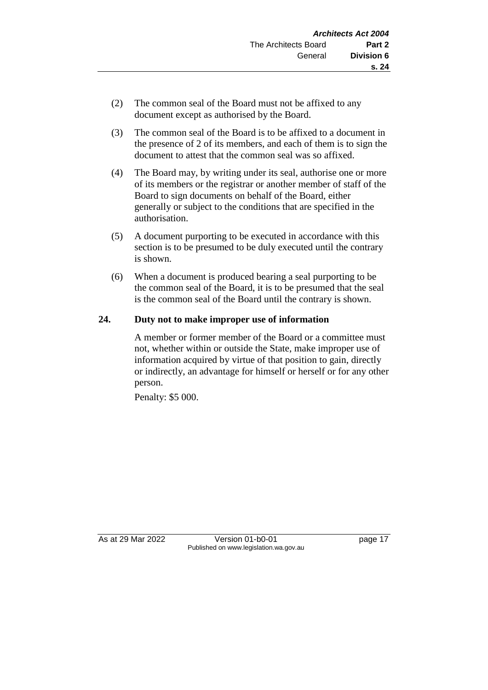- (2) The common seal of the Board must not be affixed to any document except as authorised by the Board.
- (3) The common seal of the Board is to be affixed to a document in the presence of 2 of its members, and each of them is to sign the document to attest that the common seal was so affixed.
- (4) The Board may, by writing under its seal, authorise one or more of its members or the registrar or another member of staff of the Board to sign documents on behalf of the Board, either generally or subject to the conditions that are specified in the authorisation.
- (5) A document purporting to be executed in accordance with this section is to be presumed to be duly executed until the contrary is shown.
- (6) When a document is produced bearing a seal purporting to be the common seal of the Board, it is to be presumed that the seal is the common seal of the Board until the contrary is shown.

## **24. Duty not to make improper use of information**

A member or former member of the Board or a committee must not, whether within or outside the State, make improper use of information acquired by virtue of that position to gain, directly or indirectly, an advantage for himself or herself or for any other person.

Penalty: \$5 000.

As at 29 Mar 2022 Version 01-b0-01 page 17 Published on www.legislation.wa.gov.au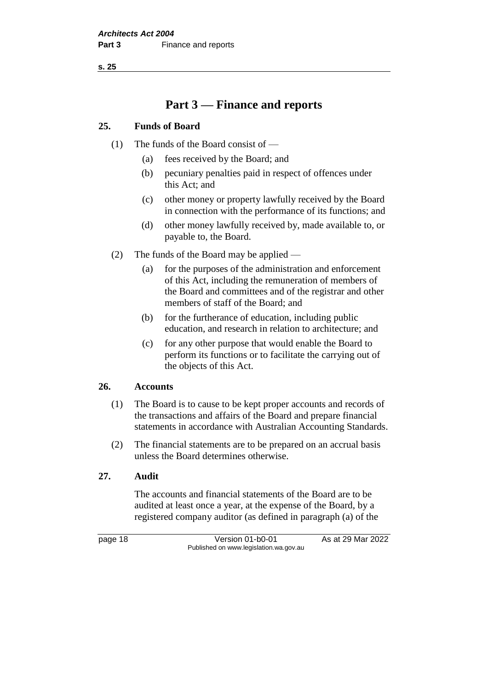**s. 25**

# **Part 3 — Finance and reports**

#### **25. Funds of Board**

- (1) The funds of the Board consist of
	- (a) fees received by the Board; and
	- (b) pecuniary penalties paid in respect of offences under this Act; and
	- (c) other money or property lawfully received by the Board in connection with the performance of its functions; and
	- (d) other money lawfully received by, made available to, or payable to, the Board.
- (2) The funds of the Board may be applied
	- (a) for the purposes of the administration and enforcement of this Act, including the remuneration of members of the Board and committees and of the registrar and other members of staff of the Board; and
	- (b) for the furtherance of education, including public education, and research in relation to architecture; and
	- (c) for any other purpose that would enable the Board to perform its functions or to facilitate the carrying out of the objects of this Act.

#### **26. Accounts**

- (1) The Board is to cause to be kept proper accounts and records of the transactions and affairs of the Board and prepare financial statements in accordance with Australian Accounting Standards.
- (2) The financial statements are to be prepared on an accrual basis unless the Board determines otherwise.

## **27. Audit**

The accounts and financial statements of the Board are to be audited at least once a year, at the expense of the Board, by a registered company auditor (as defined in paragraph (a) of the

page 18 **Version 01-b0-01** As at 29 Mar 2022 Published on www.legislation.wa.gov.au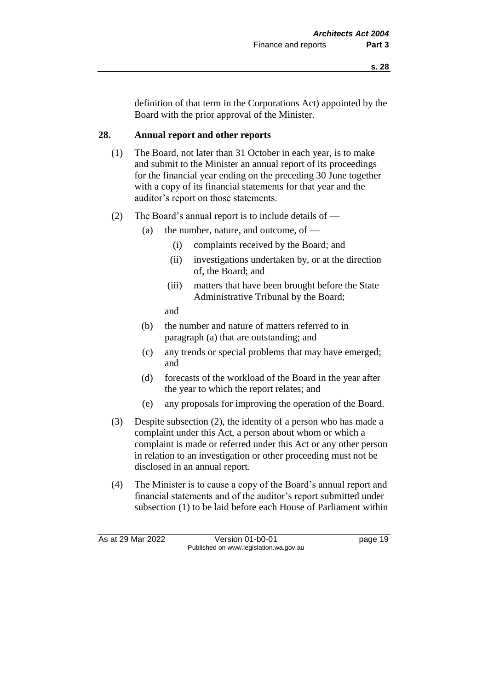definition of that term in the Corporations Act) appointed by the Board with the prior approval of the Minister.

#### **28. Annual report and other reports**

- (1) The Board, not later than 31 October in each year, is to make and submit to the Minister an annual report of its proceedings for the financial year ending on the preceding 30 June together with a copy of its financial statements for that year and the auditor's report on those statements.
- (2) The Board's annual report is to include details of  $-$ 
	- (a) the number, nature, and outcome, of  $-$ 
		- (i) complaints received by the Board; and
		- (ii) investigations undertaken by, or at the direction of, the Board; and
		- (iii) matters that have been brought before the State Administrative Tribunal by the Board;

and

- (b) the number and nature of matters referred to in paragraph (a) that are outstanding; and
- (c) any trends or special problems that may have emerged; and
- (d) forecasts of the workload of the Board in the year after the year to which the report relates; and
- (e) any proposals for improving the operation of the Board.
- (3) Despite subsection (2), the identity of a person who has made a complaint under this Act, a person about whom or which a complaint is made or referred under this Act or any other person in relation to an investigation or other proceeding must not be disclosed in an annual report.
- (4) The Minister is to cause a copy of the Board's annual report and financial statements and of the auditor's report submitted under subsection (1) to be laid before each House of Parliament within

As at 29 Mar 2022 Version 01-b0-01 page 19 Published on www.legislation.wa.gov.au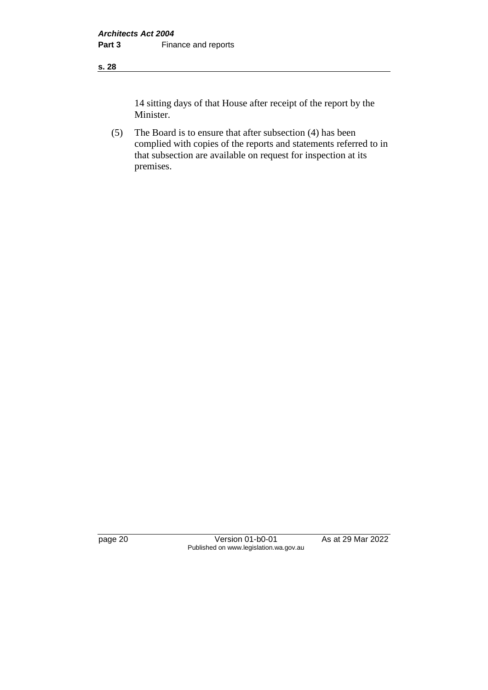#### **s. 28**

14 sitting days of that House after receipt of the report by the Minister.

(5) The Board is to ensure that after subsection (4) has been complied with copies of the reports and statements referred to in that subsection are available on request for inspection at its premises.

page 20 Version 01-b0-01 As at 29 Mar 2022 Published on www.legislation.wa.gov.au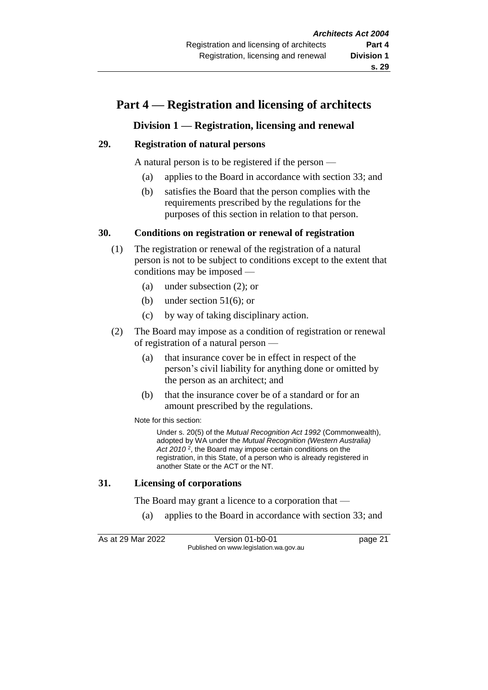## **Part 4 — Registration and licensing of architects**

## **Division 1 — Registration, licensing and renewal**

#### **29. Registration of natural persons**

A natural person is to be registered if the person —

- (a) applies to the Board in accordance with section 33; and
- (b) satisfies the Board that the person complies with the requirements prescribed by the regulations for the purposes of this section in relation to that person.

#### **30. Conditions on registration or renewal of registration**

- (1) The registration or renewal of the registration of a natural person is not to be subject to conditions except to the extent that conditions may be imposed —
	- (a) under subsection (2); or
	- (b) under section 51(6); or
	- (c) by way of taking disciplinary action.
- (2) The Board may impose as a condition of registration or renewal of registration of a natural person —
	- (a) that insurance cover be in effect in respect of the person's civil liability for anything done or omitted by the person as an architect; and
	- (b) that the insurance cover be of a standard or for an amount prescribed by the regulations.

Note for this section:

Under s. 20(5) of the *Mutual Recognition Act 1992* (Commonwealth), adopted by WA under the *Mutual Recognition (Western Australia)*  Act 2010<sup>2</sup>, the Board may impose certain conditions on the registration, in this State, of a person who is already registered in another State or the ACT or the NT.

#### **31. Licensing of corporations**

The Board may grant a licence to a corporation that —

(a) applies to the Board in accordance with section 33; and

As at 29 Mar 2022 Version 01-b0-01 page 21 Published on www.legislation.wa.gov.au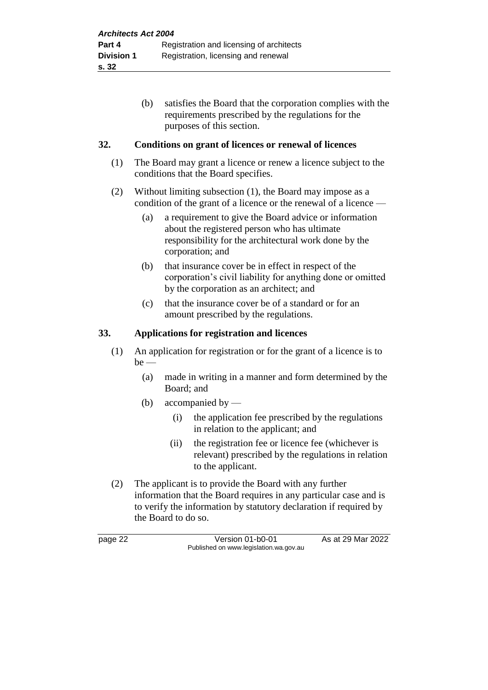(b) satisfies the Board that the corporation complies with the requirements prescribed by the regulations for the purposes of this section.

## **32. Conditions on grant of licences or renewal of licences**

- (1) The Board may grant a licence or renew a licence subject to the conditions that the Board specifies.
- (2) Without limiting subsection (1), the Board may impose as a condition of the grant of a licence or the renewal of a licence —
	- (a) a requirement to give the Board advice or information about the registered person who has ultimate responsibility for the architectural work done by the corporation; and
	- (b) that insurance cover be in effect in respect of the corporation's civil liability for anything done or omitted by the corporation as an architect; and
	- (c) that the insurance cover be of a standard or for an amount prescribed by the regulations.

## **33. Applications for registration and licences**

- (1) An application for registration or for the grant of a licence is to be —
	- (a) made in writing in a manner and form determined by the Board; and
	- (b) accompanied by
		- (i) the application fee prescribed by the regulations in relation to the applicant; and
		- (ii) the registration fee or licence fee (whichever is relevant) prescribed by the regulations in relation to the applicant.
- (2) The applicant is to provide the Board with any further information that the Board requires in any particular case and is to verify the information by statutory declaration if required by the Board to do so.

page 22 Version 01-b0-01 As at 29 Mar 2022 Published on www.legislation.wa.gov.au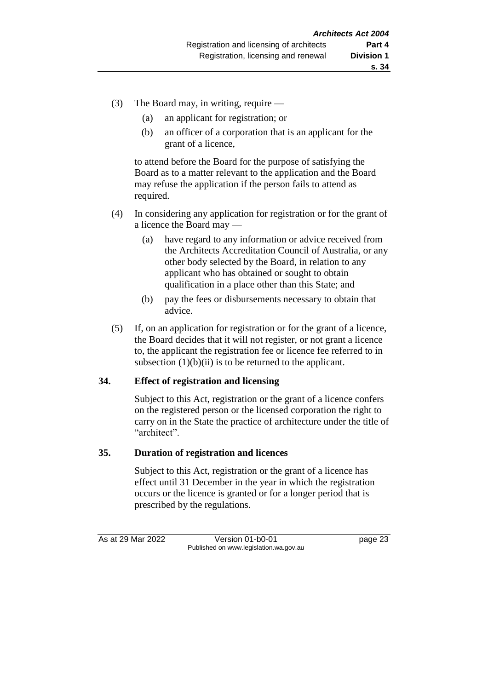- (3) The Board may, in writing, require
	- (a) an applicant for registration; or
	- (b) an officer of a corporation that is an applicant for the grant of a licence,

to attend before the Board for the purpose of satisfying the Board as to a matter relevant to the application and the Board may refuse the application if the person fails to attend as required.

- (4) In considering any application for registration or for the grant of a licence the Board may —
	- (a) have regard to any information or advice received from the Architects Accreditation Council of Australia, or any other body selected by the Board, in relation to any applicant who has obtained or sought to obtain qualification in a place other than this State; and
	- (b) pay the fees or disbursements necessary to obtain that advice.
- (5) If, on an application for registration or for the grant of a licence, the Board decides that it will not register, or not grant a licence to, the applicant the registration fee or licence fee referred to in subsection  $(1)(b)(ii)$  is to be returned to the applicant.

#### **34. Effect of registration and licensing**

Subject to this Act, registration or the grant of a licence confers on the registered person or the licensed corporation the right to carry on in the State the practice of architecture under the title of "architect".

#### **35. Duration of registration and licences**

Subject to this Act, registration or the grant of a licence has effect until 31 December in the year in which the registration occurs or the licence is granted or for a longer period that is prescribed by the regulations.

As at 29 Mar 2022 Version 01-b0-01 page 23 Published on www.legislation.wa.gov.au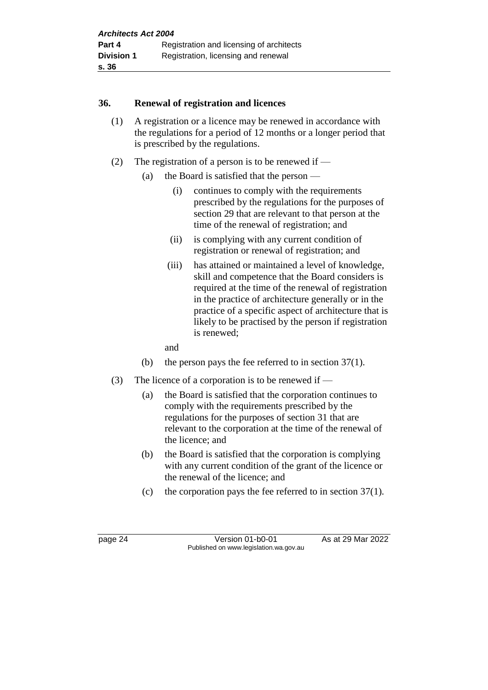#### **36. Renewal of registration and licences**

- (1) A registration or a licence may be renewed in accordance with the regulations for a period of 12 months or a longer period that is prescribed by the regulations.
- (2) The registration of a person is to be renewed if
	- (a) the Board is satisfied that the person
		- (i) continues to comply with the requirements prescribed by the regulations for the purposes of section 29 that are relevant to that person at the time of the renewal of registration; and
		- (ii) is complying with any current condition of registration or renewal of registration; and
		- (iii) has attained or maintained a level of knowledge, skill and competence that the Board considers is required at the time of the renewal of registration in the practice of architecture generally or in the practice of a specific aspect of architecture that is likely to be practised by the person if registration is renewed;

and

- (b) the person pays the fee referred to in section 37(1).
- (3) The licence of a corporation is to be renewed if
	- (a) the Board is satisfied that the corporation continues to comply with the requirements prescribed by the regulations for the purposes of section 31 that are relevant to the corporation at the time of the renewal of the licence; and
	- (b) the Board is satisfied that the corporation is complying with any current condition of the grant of the licence or the renewal of the licence; and
	- (c) the corporation pays the fee referred to in section 37(1).

page 24 Version 01-b0-01 As at 29 Mar 2022 Published on www.legislation.wa.gov.au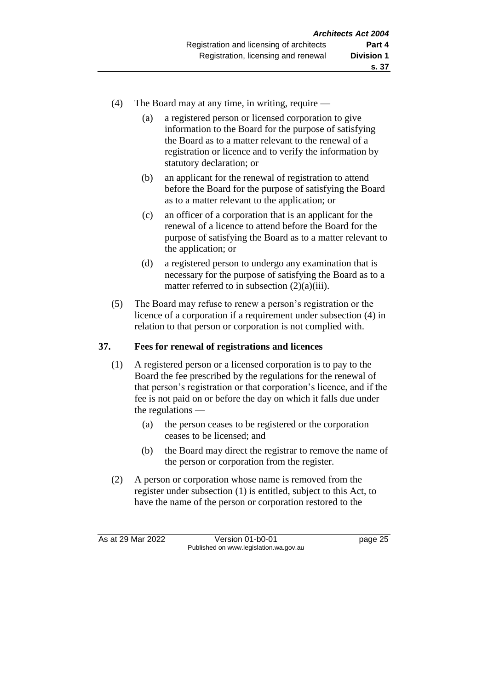- (4) The Board may at any time, in writing, require
	- (a) a registered person or licensed corporation to give information to the Board for the purpose of satisfying the Board as to a matter relevant to the renewal of a registration or licence and to verify the information by statutory declaration; or
	- (b) an applicant for the renewal of registration to attend before the Board for the purpose of satisfying the Board as to a matter relevant to the application; or
	- (c) an officer of a corporation that is an applicant for the renewal of a licence to attend before the Board for the purpose of satisfying the Board as to a matter relevant to the application; or
	- (d) a registered person to undergo any examination that is necessary for the purpose of satisfying the Board as to a matter referred to in subsection  $(2)(a)(iii)$ .
- (5) The Board may refuse to renew a person's registration or the licence of a corporation if a requirement under subsection (4) in relation to that person or corporation is not complied with.

## **37. Fees for renewal of registrations and licences**

- (1) A registered person or a licensed corporation is to pay to the Board the fee prescribed by the regulations for the renewal of that person's registration or that corporation's licence, and if the fee is not paid on or before the day on which it falls due under the regulations —
	- (a) the person ceases to be registered or the corporation ceases to be licensed; and
	- (b) the Board may direct the registrar to remove the name of the person or corporation from the register.
- (2) A person or corporation whose name is removed from the register under subsection (1) is entitled, subject to this Act, to have the name of the person or corporation restored to the

As at 29 Mar 2022 Version 01-b0-01 page 25 Published on www.legislation.wa.gov.au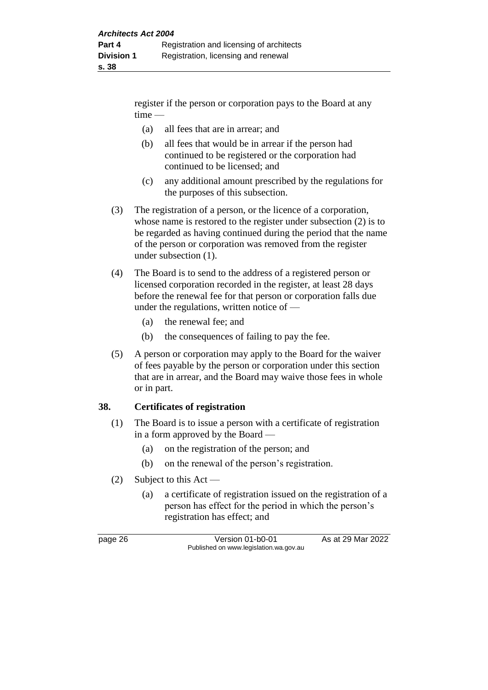register if the person or corporation pays to the Board at any time —

- (a) all fees that are in arrear; and
- (b) all fees that would be in arrear if the person had continued to be registered or the corporation had continued to be licensed; and
- (c) any additional amount prescribed by the regulations for the purposes of this subsection.
- (3) The registration of a person, or the licence of a corporation, whose name is restored to the register under subsection (2) is to be regarded as having continued during the period that the name of the person or corporation was removed from the register under subsection (1).
- (4) The Board is to send to the address of a registered person or licensed corporation recorded in the register, at least 28 days before the renewal fee for that person or corporation falls due under the regulations, written notice of —
	- (a) the renewal fee; and
	- (b) the consequences of failing to pay the fee.
- (5) A person or corporation may apply to the Board for the waiver of fees payable by the person or corporation under this section that are in arrear, and the Board may waive those fees in whole or in part.

#### **38. Certificates of registration**

- (1) The Board is to issue a person with a certificate of registration in a form approved by the Board —
	- (a) on the registration of the person; and
	- (b) on the renewal of the person's registration.
- (2) Subject to this Act
	- (a) a certificate of registration issued on the registration of a person has effect for the period in which the person's registration has effect; and

page 26 Version 01-b0-01 As at 29 Mar 2022 Published on www.legislation.wa.gov.au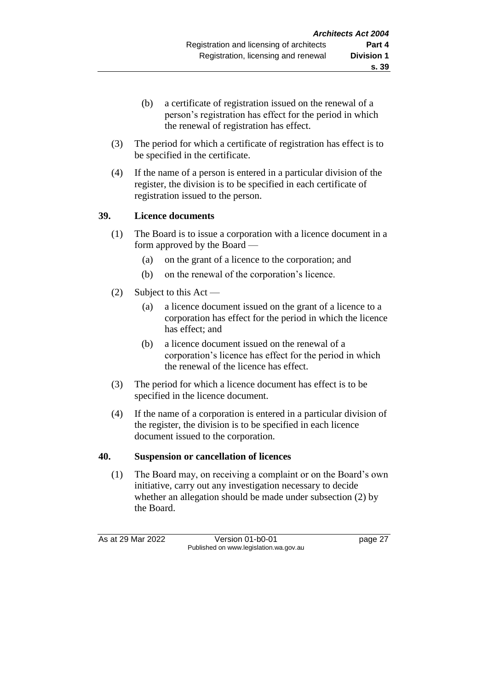- (b) a certificate of registration issued on the renewal of a person's registration has effect for the period in which the renewal of registration has effect.
- (3) The period for which a certificate of registration has effect is to be specified in the certificate.
- (4) If the name of a person is entered in a particular division of the register, the division is to be specified in each certificate of registration issued to the person.

## **39. Licence documents**

- (1) The Board is to issue a corporation with a licence document in a form approved by the Board —
	- (a) on the grant of a licence to the corporation; and
	- (b) on the renewal of the corporation's licence.
- (2) Subject to this Act
	- (a) a licence document issued on the grant of a licence to a corporation has effect for the period in which the licence has effect; and
	- (b) a licence document issued on the renewal of a corporation's licence has effect for the period in which the renewal of the licence has effect.
- (3) The period for which a licence document has effect is to be specified in the licence document.
- (4) If the name of a corporation is entered in a particular division of the register, the division is to be specified in each licence document issued to the corporation.

## **40. Suspension or cancellation of licences**

(1) The Board may, on receiving a complaint or on the Board's own initiative, carry out any investigation necessary to decide whether an allegation should be made under subsection (2) by the Board.

As at 29 Mar 2022 Version 01-b0-01 page 27 Published on www.legislation.wa.gov.au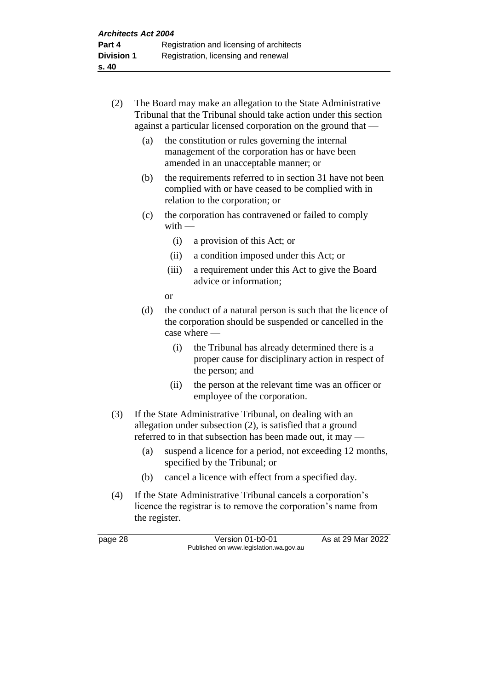- (2) The Board may make an allegation to the State Administrative Tribunal that the Tribunal should take action under this section against a particular licensed corporation on the ground that —
	- (a) the constitution or rules governing the internal management of the corporation has or have been amended in an unacceptable manner; or
	- (b) the requirements referred to in section 31 have not been complied with or have ceased to be complied with in relation to the corporation; or
	- (c) the corporation has contravened or failed to comply  $with -$ 
		- (i) a provision of this Act; or
		- (ii) a condition imposed under this Act; or
		- (iii) a requirement under this Act to give the Board advice or information;

or

- (d) the conduct of a natural person is such that the licence of the corporation should be suspended or cancelled in the case where —
	- (i) the Tribunal has already determined there is a proper cause for disciplinary action in respect of the person; and
	- (ii) the person at the relevant time was an officer or employee of the corporation.
- (3) If the State Administrative Tribunal, on dealing with an allegation under subsection (2), is satisfied that a ground referred to in that subsection has been made out, it may —
	- (a) suspend a licence for a period, not exceeding 12 months, specified by the Tribunal; or
	- (b) cancel a licence with effect from a specified day.
- (4) If the State Administrative Tribunal cancels a corporation's licence the registrar is to remove the corporation's name from the register.

page 28 Version 01-b0-01 As at 29 Mar 2022 Published on www.legislation.wa.gov.au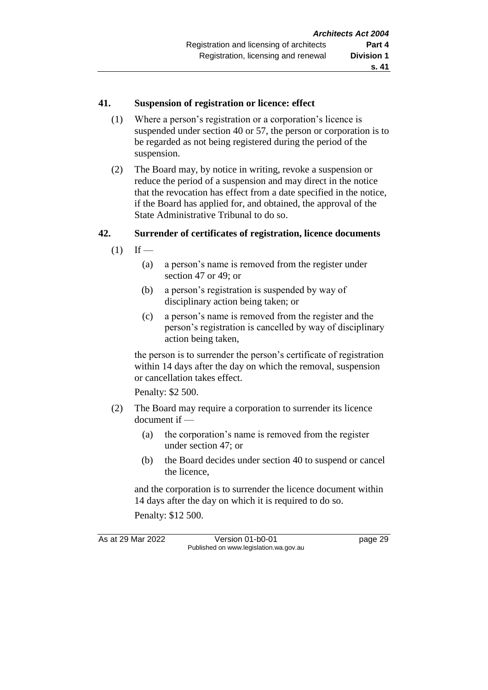### **41. Suspension of registration or licence: effect**

- (1) Where a person's registration or a corporation's licence is suspended under section 40 or 57, the person or corporation is to be regarded as not being registered during the period of the suspension.
- (2) The Board may, by notice in writing, revoke a suspension or reduce the period of a suspension and may direct in the notice that the revocation has effect from a date specified in the notice, if the Board has applied for, and obtained, the approval of the State Administrative Tribunal to do so.

### **42. Surrender of certificates of registration, licence documents**

- $(1)$  If
	- (a) a person's name is removed from the register under section 47 or 49; or
	- (b) a person's registration is suspended by way of disciplinary action being taken; or
	- (c) a person's name is removed from the register and the person's registration is cancelled by way of disciplinary action being taken,

the person is to surrender the person's certificate of registration within 14 days after the day on which the removal, suspension or cancellation takes effect.

Penalty: \$2 500.

- (2) The Board may require a corporation to surrender its licence document if —
	- (a) the corporation's name is removed from the register under section 47; or
	- (b) the Board decides under section 40 to suspend or cancel the licence,

and the corporation is to surrender the licence document within 14 days after the day on which it is required to do so.

Penalty: \$12 500.

As at 29 Mar 2022 Version 01-b0-01 page 29 Published on www.legislation.wa.gov.au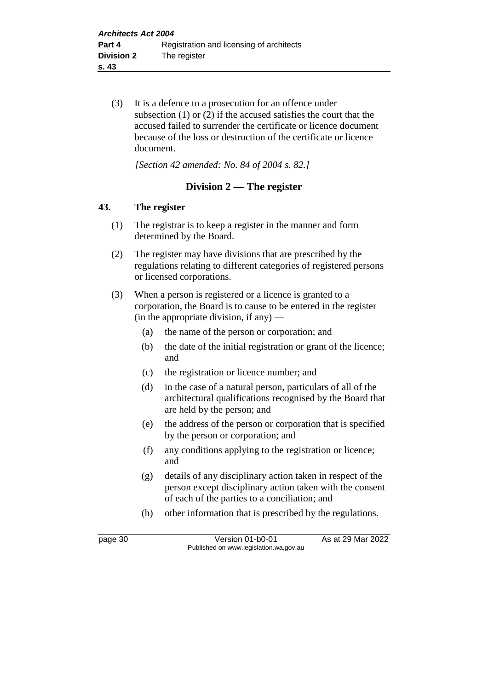(3) It is a defence to a prosecution for an offence under subsection (1) or (2) if the accused satisfies the court that the accused failed to surrender the certificate or licence document because of the loss or destruction of the certificate or licence document.

*[Section 42 amended: No. 84 of 2004 s. 82.]*

# **Division 2 — The register**

## **43. The register**

- (1) The registrar is to keep a register in the manner and form determined by the Board.
- (2) The register may have divisions that are prescribed by the regulations relating to different categories of registered persons or licensed corporations.
- (3) When a person is registered or a licence is granted to a corporation, the Board is to cause to be entered in the register (in the appropriate division, if any)  $-$ 
	- (a) the name of the person or corporation; and
	- (b) the date of the initial registration or grant of the licence; and
	- (c) the registration or licence number; and
	- (d) in the case of a natural person, particulars of all of the architectural qualifications recognised by the Board that are held by the person; and
	- (e) the address of the person or corporation that is specified by the person or corporation; and
	- (f) any conditions applying to the registration or licence; and
	- (g) details of any disciplinary action taken in respect of the person except disciplinary action taken with the consent of each of the parties to a conciliation; and
	- (h) other information that is prescribed by the regulations.

page 30 Version 01-b0-01 As at 29 Mar 2022 Published on www.legislation.wa.gov.au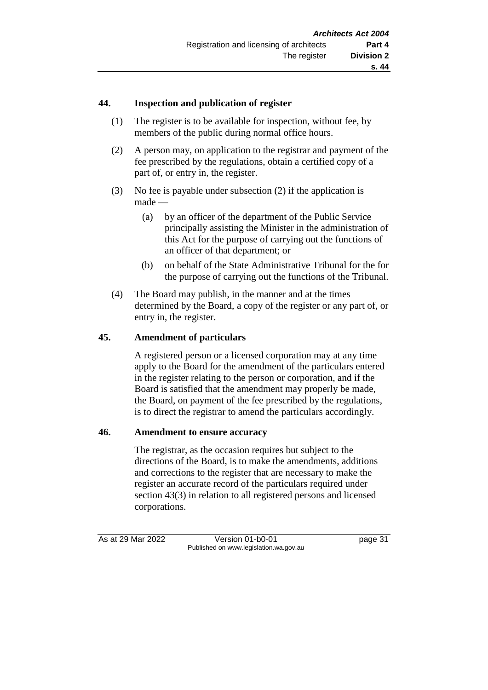## **44. Inspection and publication of register**

- (1) The register is to be available for inspection, without fee, by members of the public during normal office hours.
- (2) A person may, on application to the registrar and payment of the fee prescribed by the regulations, obtain a certified copy of a part of, or entry in, the register.
- (3) No fee is payable under subsection (2) if the application is made —
	- (a) by an officer of the department of the Public Service principally assisting the Minister in the administration of this Act for the purpose of carrying out the functions of an officer of that department; or
	- (b) on behalf of the State Administrative Tribunal for the for the purpose of carrying out the functions of the Tribunal.
- (4) The Board may publish, in the manner and at the times determined by the Board, a copy of the register or any part of, or entry in, the register.

## **45. Amendment of particulars**

A registered person or a licensed corporation may at any time apply to the Board for the amendment of the particulars entered in the register relating to the person or corporation, and if the Board is satisfied that the amendment may properly be made, the Board, on payment of the fee prescribed by the regulations, is to direct the registrar to amend the particulars accordingly.

#### **46. Amendment to ensure accuracy**

The registrar, as the occasion requires but subject to the directions of the Board, is to make the amendments, additions and corrections to the register that are necessary to make the register an accurate record of the particulars required under section 43(3) in relation to all registered persons and licensed corporations.

As at 29 Mar 2022 Version 01-b0-01 page 31 Published on www.legislation.wa.gov.au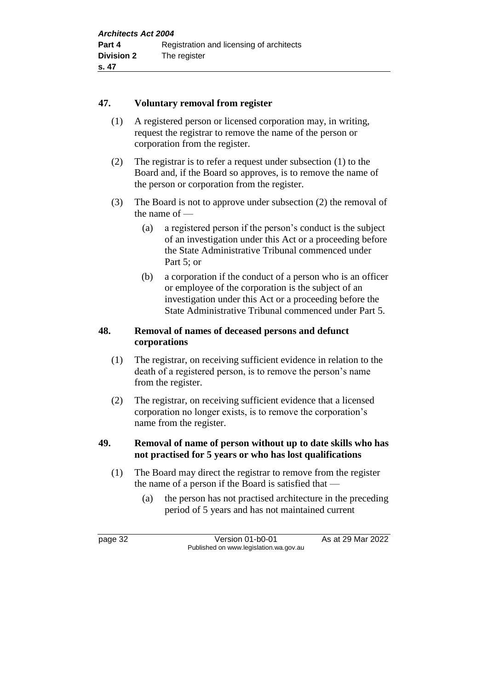### **47. Voluntary removal from register**

- (1) A registered person or licensed corporation may, in writing, request the registrar to remove the name of the person or corporation from the register.
- (2) The registrar is to refer a request under subsection (1) to the Board and, if the Board so approves, is to remove the name of the person or corporation from the register.
- (3) The Board is not to approve under subsection (2) the removal of the name of —
	- (a) a registered person if the person's conduct is the subject of an investigation under this Act or a proceeding before the State Administrative Tribunal commenced under Part 5; or
	- (b) a corporation if the conduct of a person who is an officer or employee of the corporation is the subject of an investigation under this Act or a proceeding before the State Administrative Tribunal commenced under Part 5.

### **48. Removal of names of deceased persons and defunct corporations**

- (1) The registrar, on receiving sufficient evidence in relation to the death of a registered person, is to remove the person's name from the register.
- (2) The registrar, on receiving sufficient evidence that a licensed corporation no longer exists, is to remove the corporation's name from the register.

## **49. Removal of name of person without up to date skills who has not practised for 5 years or who has lost qualifications**

- (1) The Board may direct the registrar to remove from the register the name of a person if the Board is satisfied that —
	- (a) the person has not practised architecture in the preceding period of 5 years and has not maintained current

page 32 Version 01-b0-01 As at 29 Mar 2022 Published on www.legislation.wa.gov.au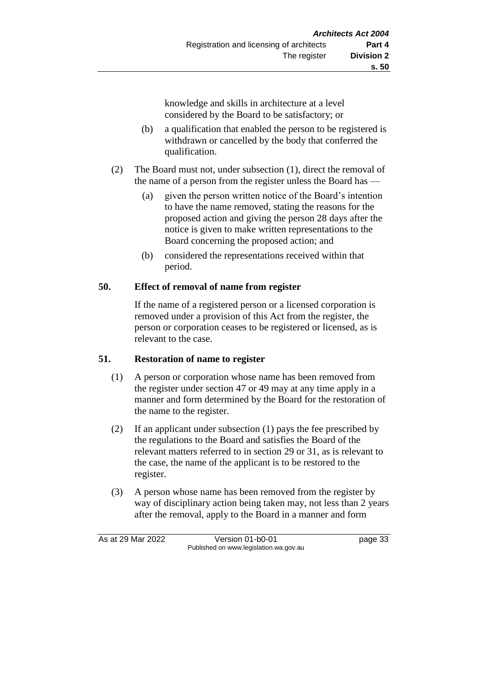knowledge and skills in architecture at a level considered by the Board to be satisfactory; or

- (b) a qualification that enabled the person to be registered is withdrawn or cancelled by the body that conferred the qualification.
- (2) The Board must not, under subsection (1), direct the removal of the name of a person from the register unless the Board has —
	- (a) given the person written notice of the Board's intention to have the name removed, stating the reasons for the proposed action and giving the person 28 days after the notice is given to make written representations to the Board concerning the proposed action; and
	- (b) considered the representations received within that period.

# **50. Effect of removal of name from register**

If the name of a registered person or a licensed corporation is removed under a provision of this Act from the register, the person or corporation ceases to be registered or licensed, as is relevant to the case.

## **51. Restoration of name to register**

- (1) A person or corporation whose name has been removed from the register under section 47 or 49 may at any time apply in a manner and form determined by the Board for the restoration of the name to the register.
- (2) If an applicant under subsection (1) pays the fee prescribed by the regulations to the Board and satisfies the Board of the relevant matters referred to in section 29 or 31, as is relevant to the case, the name of the applicant is to be restored to the register.
- (3) A person whose name has been removed from the register by way of disciplinary action being taken may, not less than 2 years after the removal, apply to the Board in a manner and form

As at 29 Mar 2022 Version 01-b0-01 page 33 Published on www.legislation.wa.gov.au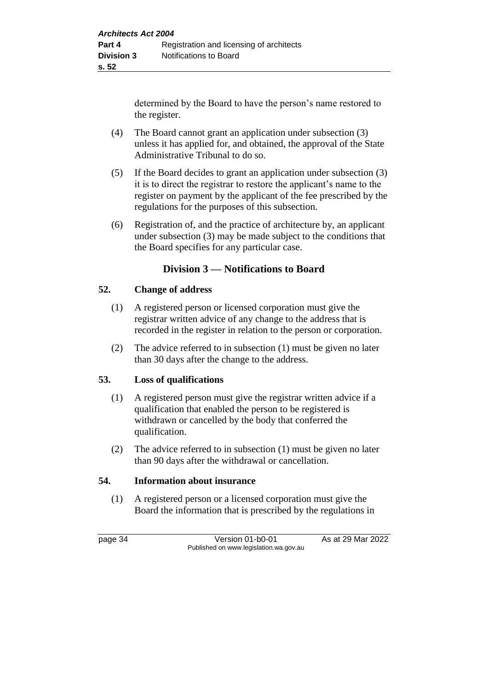determined by the Board to have the person's name restored to the register.

- (4) The Board cannot grant an application under subsection (3) unless it has applied for, and obtained, the approval of the State Administrative Tribunal to do so.
- (5) If the Board decides to grant an application under subsection (3) it is to direct the registrar to restore the applicant's name to the register on payment by the applicant of the fee prescribed by the regulations for the purposes of this subsection.
- (6) Registration of, and the practice of architecture by, an applicant under subsection (3) may be made subject to the conditions that the Board specifies for any particular case.

# **Division 3 — Notifications to Board**

### **52. Change of address**

- (1) A registered person or licensed corporation must give the registrar written advice of any change to the address that is recorded in the register in relation to the person or corporation.
- (2) The advice referred to in subsection (1) must be given no later than 30 days after the change to the address.

## **53. Loss of qualifications**

- (1) A registered person must give the registrar written advice if a qualification that enabled the person to be registered is withdrawn or cancelled by the body that conferred the qualification.
- (2) The advice referred to in subsection (1) must be given no later than 90 days after the withdrawal or cancellation.

### **54. Information about insurance**

(1) A registered person or a licensed corporation must give the Board the information that is prescribed by the regulations in

page 34 Version 01-b0-01 As at 29 Mar 2022 Published on www.legislation.wa.gov.au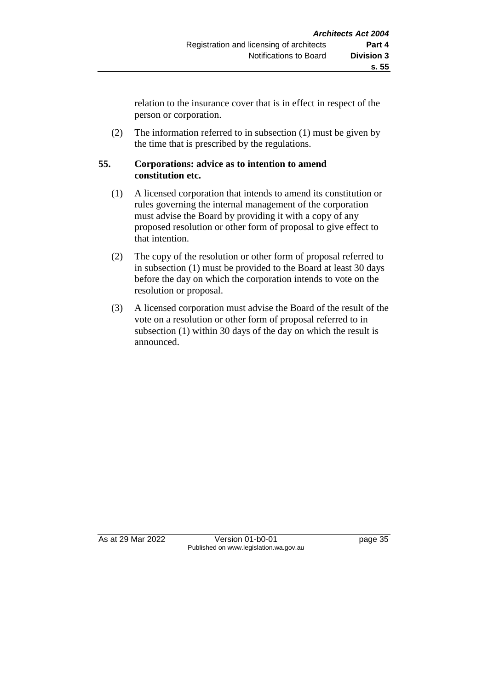relation to the insurance cover that is in effect in respect of the person or corporation.

(2) The information referred to in subsection (1) must be given by the time that is prescribed by the regulations.

## **55. Corporations: advice as to intention to amend constitution etc.**

- (1) A licensed corporation that intends to amend its constitution or rules governing the internal management of the corporation must advise the Board by providing it with a copy of any proposed resolution or other form of proposal to give effect to that intention.
- (2) The copy of the resolution or other form of proposal referred to in subsection (1) must be provided to the Board at least 30 days before the day on which the corporation intends to vote on the resolution or proposal.
- (3) A licensed corporation must advise the Board of the result of the vote on a resolution or other form of proposal referred to in subsection (1) within 30 days of the day on which the result is announced.

As at 29 Mar 2022 Version 01-b0-01 page 35 Published on www.legislation.wa.gov.au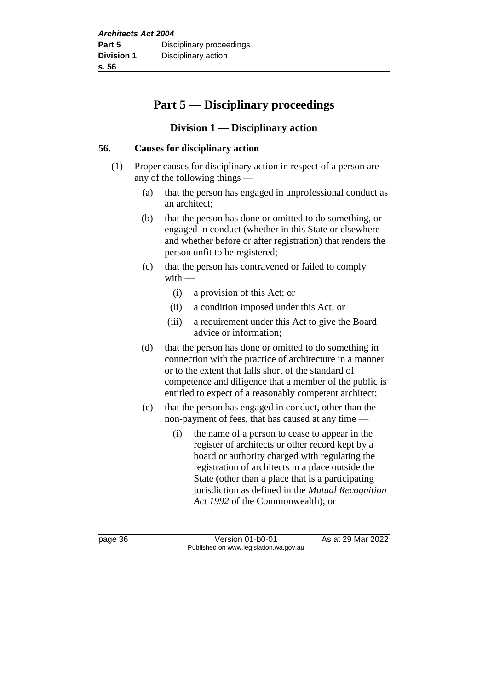# **Part 5 — Disciplinary proceedings**

# **Division 1 — Disciplinary action**

## **56. Causes for disciplinary action**

- (1) Proper causes for disciplinary action in respect of a person are any of the following things —
	- (a) that the person has engaged in unprofessional conduct as an architect;
	- (b) that the person has done or omitted to do something, or engaged in conduct (whether in this State or elsewhere and whether before or after registration) that renders the person unfit to be registered;
	- (c) that the person has contravened or failed to comply  $with$  —
		- (i) a provision of this Act; or
		- (ii) a condition imposed under this Act; or
		- (iii) a requirement under this Act to give the Board advice or information;
	- (d) that the person has done or omitted to do something in connection with the practice of architecture in a manner or to the extent that falls short of the standard of competence and diligence that a member of the public is entitled to expect of a reasonably competent architect;
	- (e) that the person has engaged in conduct, other than the non-payment of fees, that has caused at any time —
		- (i) the name of a person to cease to appear in the register of architects or other record kept by a board or authority charged with regulating the registration of architects in a place outside the State (other than a place that is a participating jurisdiction as defined in the *Mutual Recognition Act 1992* of the Commonwealth); or

page 36 Version 01-b0-01 As at 29 Mar 2022 Published on www.legislation.wa.gov.au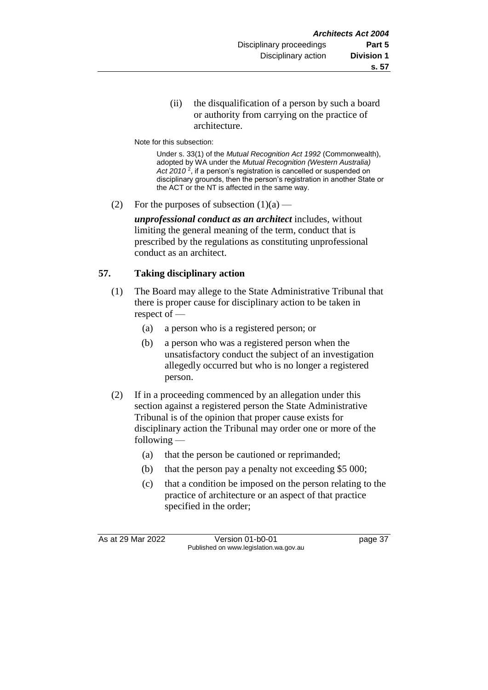(ii) the disqualification of a person by such a board or authority from carrying on the practice of architecture.

Note for this subsection:

Under s. 33(1) of the *Mutual Recognition Act 1992* (Commonwealth), adopted by WA under the *Mutual Recognition (Western Australia) Act 2010* <sup>2</sup> , if a person's registration is cancelled or suspended on disciplinary grounds, then the person's registration in another State or the ACT or the NT is affected in the same way.

(2) For the purposes of subsection  $(1)(a)$  —

*unprofessional conduct as an architect* includes, without limiting the general meaning of the term, conduct that is prescribed by the regulations as constituting unprofessional conduct as an architect.

# **57. Taking disciplinary action**

- (1) The Board may allege to the State Administrative Tribunal that there is proper cause for disciplinary action to be taken in respect of —
	- (a) a person who is a registered person; or
	- (b) a person who was a registered person when the unsatisfactory conduct the subject of an investigation allegedly occurred but who is no longer a registered person.
- (2) If in a proceeding commenced by an allegation under this section against a registered person the State Administrative Tribunal is of the opinion that proper cause exists for disciplinary action the Tribunal may order one or more of the following —
	- (a) that the person be cautioned or reprimanded;
	- (b) that the person pay a penalty not exceeding \$5 000;
	- (c) that a condition be imposed on the person relating to the practice of architecture or an aspect of that practice specified in the order;

As at 29 Mar 2022 Version 01-b0-01 page 37 Published on www.legislation.wa.gov.au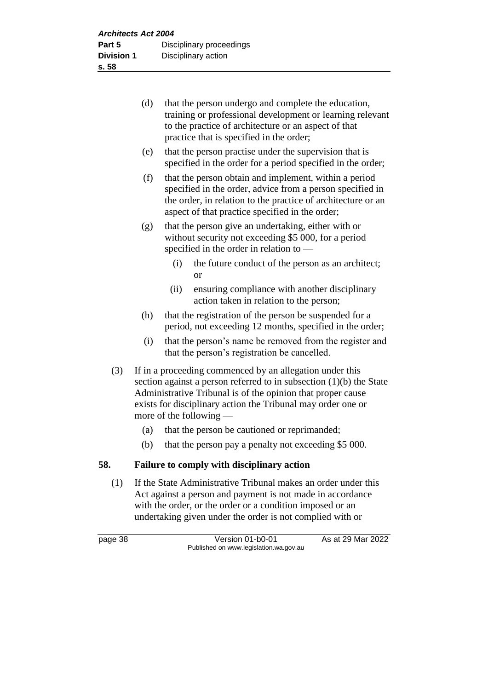| (d) | that the person undergo and complete the education,       |
|-----|-----------------------------------------------------------|
|     | training or professional development or learning relevant |
|     | to the practice of architecture or an aspect of that      |
|     | practice that is specified in the order;                  |

- (e) that the person practise under the supervision that is specified in the order for a period specified in the order;
- (f) that the person obtain and implement, within a period specified in the order, advice from a person specified in the order, in relation to the practice of architecture or an aspect of that practice specified in the order;
- (g) that the person give an undertaking, either with or without security not exceeding \$5 000, for a period specified in the order in relation to —
	- (i) the future conduct of the person as an architect; or
	- (ii) ensuring compliance with another disciplinary action taken in relation to the person;
- (h) that the registration of the person be suspended for a period, not exceeding 12 months, specified in the order;
- (i) that the person's name be removed from the register and that the person's registration be cancelled.
- (3) If in a proceeding commenced by an allegation under this section against a person referred to in subsection (1)(b) the State Administrative Tribunal is of the opinion that proper cause exists for disciplinary action the Tribunal may order one or more of the following —
	- (a) that the person be cautioned or reprimanded;
	- (b) that the person pay a penalty not exceeding \$5 000.

## **58. Failure to comply with disciplinary action**

(1) If the State Administrative Tribunal makes an order under this Act against a person and payment is not made in accordance with the order, or the order or a condition imposed or an undertaking given under the order is not complied with or

page 38 Version 01-b0-01 As at 29 Mar 2022 Published on www.legislation.wa.gov.au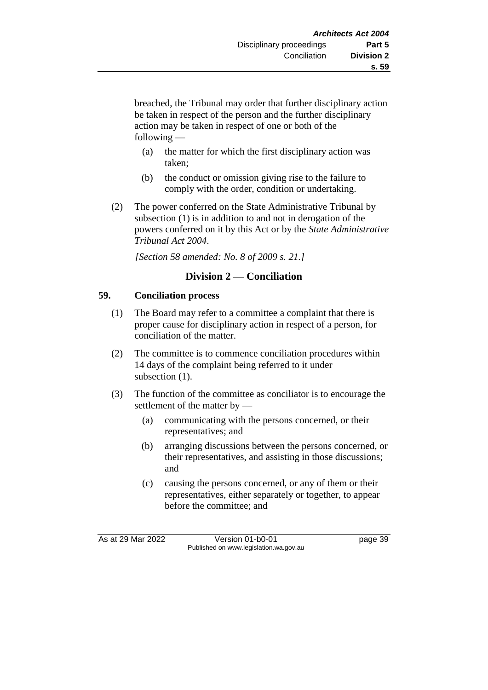breached, the Tribunal may order that further disciplinary action be taken in respect of the person and the further disciplinary action may be taken in respect of one or both of the following —

- (a) the matter for which the first disciplinary action was taken;
- (b) the conduct or omission giving rise to the failure to comply with the order, condition or undertaking.
- (2) The power conferred on the State Administrative Tribunal by subsection (1) is in addition to and not in derogation of the powers conferred on it by this Act or by the *State Administrative Tribunal Act 2004*.

*[Section 58 amended: No. 8 of 2009 s. 21.]*

# **Division 2 — Conciliation**

## **59. Conciliation process**

- (1) The Board may refer to a committee a complaint that there is proper cause for disciplinary action in respect of a person, for conciliation of the matter.
- (2) The committee is to commence conciliation procedures within 14 days of the complaint being referred to it under subsection  $(1)$ .
- (3) The function of the committee as conciliator is to encourage the settlement of the matter by —
	- (a) communicating with the persons concerned, or their representatives; and
	- (b) arranging discussions between the persons concerned, or their representatives, and assisting in those discussions; and
	- (c) causing the persons concerned, or any of them or their representatives, either separately or together, to appear before the committee; and

As at 29 Mar 2022 Version 01-b0-01 page 39 Published on www.legislation.wa.gov.au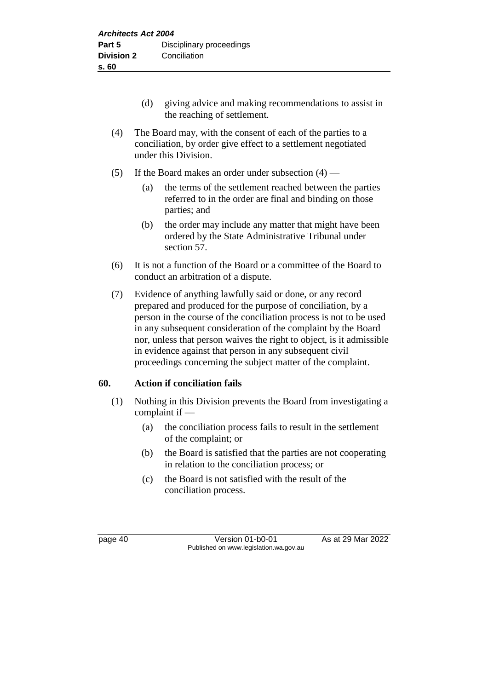- (d) giving advice and making recommendations to assist in the reaching of settlement.
- (4) The Board may, with the consent of each of the parties to a conciliation, by order give effect to a settlement negotiated under this Division.
- (5) If the Board makes an order under subsection  $(4)$ 
	- (a) the terms of the settlement reached between the parties referred to in the order are final and binding on those parties; and
	- (b) the order may include any matter that might have been ordered by the State Administrative Tribunal under section 57.
- (6) It is not a function of the Board or a committee of the Board to conduct an arbitration of a dispute.
- (7) Evidence of anything lawfully said or done, or any record prepared and produced for the purpose of conciliation, by a person in the course of the conciliation process is not to be used in any subsequent consideration of the complaint by the Board nor, unless that person waives the right to object, is it admissible in evidence against that person in any subsequent civil proceedings concerning the subject matter of the complaint.

# **60. Action if conciliation fails**

- (1) Nothing in this Division prevents the Board from investigating a complaint if —
	- (a) the conciliation process fails to result in the settlement of the complaint; or
	- (b) the Board is satisfied that the parties are not cooperating in relation to the conciliation process; or
	- (c) the Board is not satisfied with the result of the conciliation process.

page 40 **Version 01-b0-01** As at 29 Mar 2022 Published on www.legislation.wa.gov.au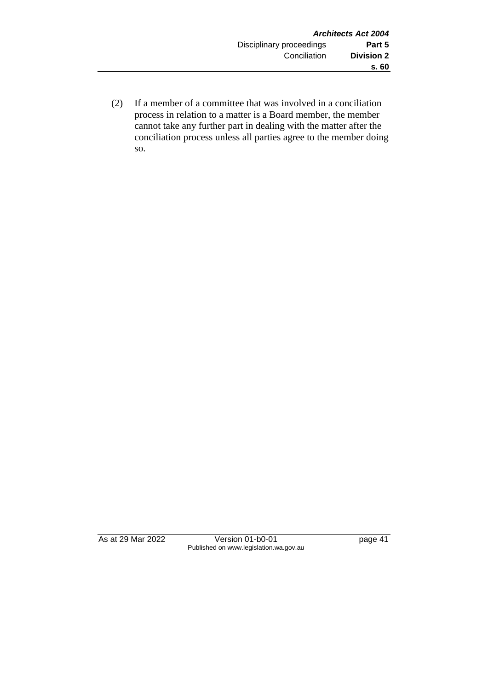(2) If a member of a committee that was involved in a conciliation process in relation to a matter is a Board member, the member cannot take any further part in dealing with the matter after the conciliation process unless all parties agree to the member doing so.

As at 29 Mar 2022 Version 01-b0-01 page 41 Published on www.legislation.wa.gov.au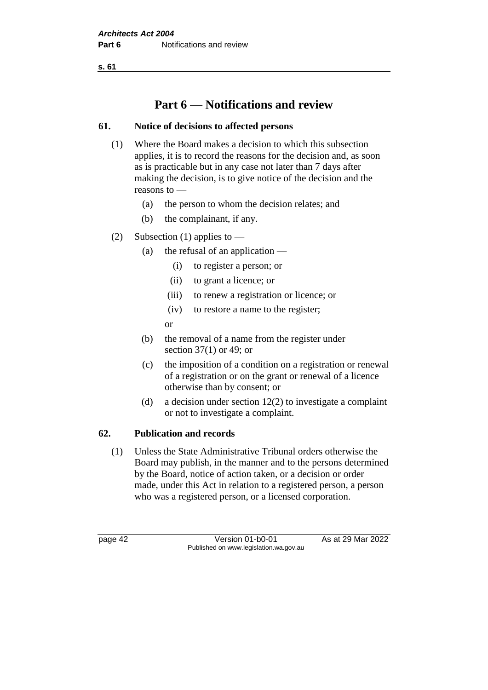**s. 61**

# **Part 6 — Notifications and review**

# **61. Notice of decisions to affected persons**

- (1) Where the Board makes a decision to which this subsection applies, it is to record the reasons for the decision and, as soon as is practicable but in any case not later than 7 days after making the decision, is to give notice of the decision and the reasons to —
	- (a) the person to whom the decision relates; and
	- (b) the complainant, if any.
- (2) Subsection (1) applies to
	- (a) the refusal of an application
		- (i) to register a person; or
		- (ii) to grant a licence; or
		- (iii) to renew a registration or licence; or
		- (iv) to restore a name to the register;

or

- (b) the removal of a name from the register under section 37(1) or 49; or
- (c) the imposition of a condition on a registration or renewal of a registration or on the grant or renewal of a licence otherwise than by consent; or
- (d) a decision under section 12(2) to investigate a complaint or not to investigate a complaint.

## **62. Publication and records**

(1) Unless the State Administrative Tribunal orders otherwise the Board may publish, in the manner and to the persons determined by the Board, notice of action taken, or a decision or order made, under this Act in relation to a registered person, a person who was a registered person, or a licensed corporation.

page 42 Version 01-b0-01 As at 29 Mar 2022 Published on www.legislation.wa.gov.au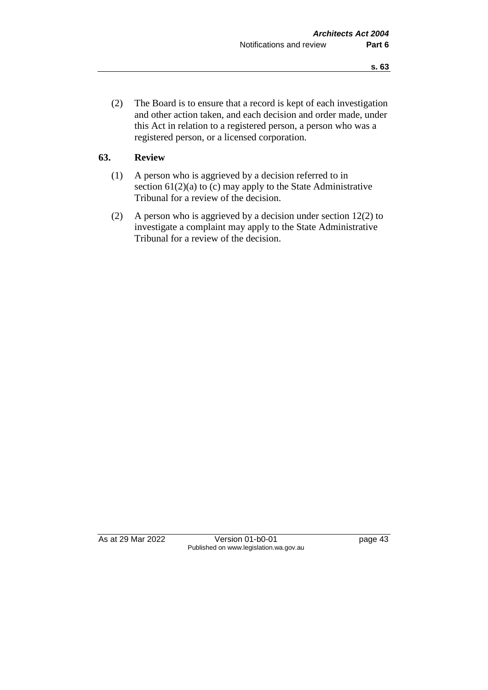(2) The Board is to ensure that a record is kept of each investigation and other action taken, and each decision and order made, under this Act in relation to a registered person, a person who was a registered person, or a licensed corporation.

## **63. Review**

- (1) A person who is aggrieved by a decision referred to in section 61(2)(a) to (c) may apply to the State Administrative Tribunal for a review of the decision.
- (2) A person who is aggrieved by a decision under section 12(2) to investigate a complaint may apply to the State Administrative Tribunal for a review of the decision.

As at 29 Mar 2022 Version 01-b0-01 page 43 Published on www.legislation.wa.gov.au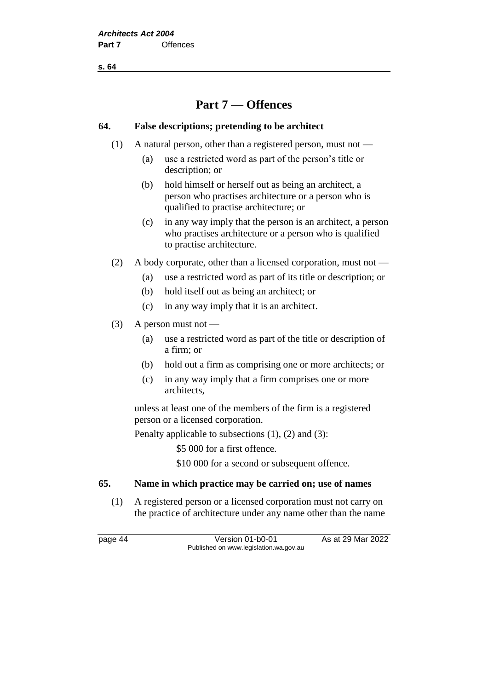**s. 64**

# **Part 7 — Offences**

### **64. False descriptions; pretending to be architect**

- (1) A natural person, other than a registered person, must not
	- (a) use a restricted word as part of the person's title or description; or
	- (b) hold himself or herself out as being an architect, a person who practises architecture or a person who is qualified to practise architecture; or
	- (c) in any way imply that the person is an architect, a person who practises architecture or a person who is qualified to practise architecture.
- (2) A body corporate, other than a licensed corporation, must not
	- (a) use a restricted word as part of its title or description; or
	- (b) hold itself out as being an architect; or
	- (c) in any way imply that it is an architect.
- $(3)$  A person must not
	- (a) use a restricted word as part of the title or description of a firm; or
	- (b) hold out a firm as comprising one or more architects; or
	- (c) in any way imply that a firm comprises one or more architects,

unless at least one of the members of the firm is a registered person or a licensed corporation.

Penalty applicable to subsections (1), (2) and (3):

\$5 000 for a first offence.

\$10 000 for a second or subsequent offence.

## **65. Name in which practice may be carried on; use of names**

(1) A registered person or a licensed corporation must not carry on the practice of architecture under any name other than the name

page 44 Version 01-b0-01 As at 29 Mar 2022 Published on www.legislation.wa.gov.au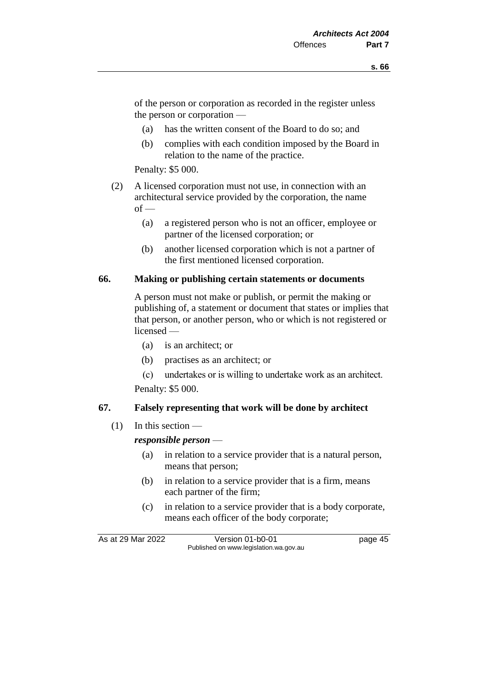of the person or corporation as recorded in the register unless the person or corporation —

- (a) has the written consent of the Board to do so; and
- (b) complies with each condition imposed by the Board in relation to the name of the practice.

Penalty: \$5 000.

- (2) A licensed corporation must not use, in connection with an architectural service provided by the corporation, the name  $of -$ 
	- (a) a registered person who is not an officer, employee or partner of the licensed corporation; or
	- (b) another licensed corporation which is not a partner of the first mentioned licensed corporation.

#### **66. Making or publishing certain statements or documents**

A person must not make or publish, or permit the making or publishing of, a statement or document that states or implies that that person, or another person, who or which is not registered or licensed —

- (a) is an architect; or
- (b) practises as an architect; or
- (c) undertakes or is willing to undertake work as an architect. Penalty: \$5 000.

# **67. Falsely representing that work will be done by architect**

 $(1)$  In this section —

#### *responsible person* —

- (a) in relation to a service provider that is a natural person, means that person;
- (b) in relation to a service provider that is a firm, means each partner of the firm;
- (c) in relation to a service provider that is a body corporate, means each officer of the body corporate;

As at 29 Mar 2022 Version 01-b0-01 page 45 Published on www.legislation.wa.gov.au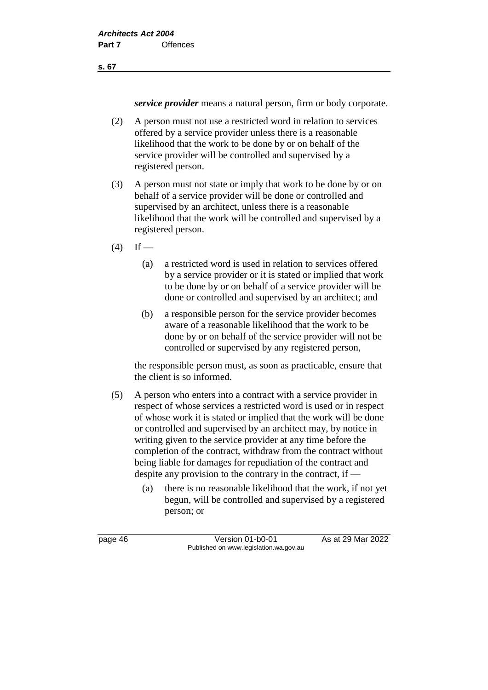**s. 67**

*service provider* means a natural person, firm or body corporate.

- (2) A person must not use a restricted word in relation to services offered by a service provider unless there is a reasonable likelihood that the work to be done by or on behalf of the service provider will be controlled and supervised by a registered person.
- (3) A person must not state or imply that work to be done by or on behalf of a service provider will be done or controlled and supervised by an architect, unless there is a reasonable likelihood that the work will be controlled and supervised by a registered person.
- $(4)$  If
	- (a) a restricted word is used in relation to services offered by a service provider or it is stated or implied that work to be done by or on behalf of a service provider will be done or controlled and supervised by an architect; and
	- (b) a responsible person for the service provider becomes aware of a reasonable likelihood that the work to be done by or on behalf of the service provider will not be controlled or supervised by any registered person,

the responsible person must, as soon as practicable, ensure that the client is so informed.

- (5) A person who enters into a contract with a service provider in respect of whose services a restricted word is used or in respect of whose work it is stated or implied that the work will be done or controlled and supervised by an architect may, by notice in writing given to the service provider at any time before the completion of the contract, withdraw from the contract without being liable for damages for repudiation of the contract and despite any provision to the contrary in the contract, if —
	- (a) there is no reasonable likelihood that the work, if not yet begun, will be controlled and supervised by a registered person; or

page 46 Version 01-b0-01 As at 29 Mar 2022 Published on www.legislation.wa.gov.au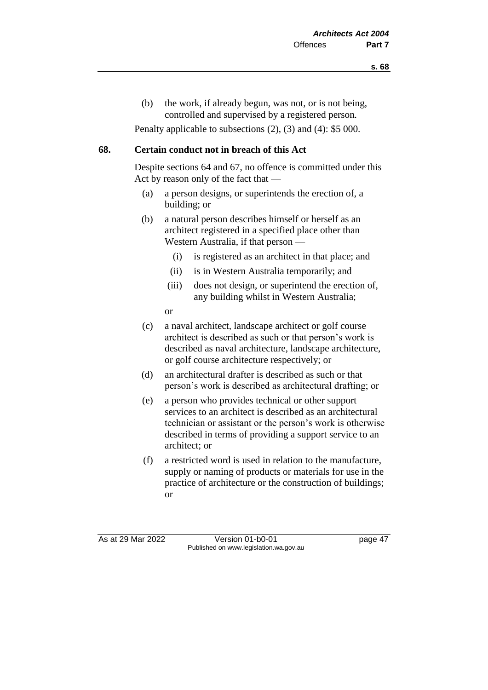(b) the work, if already begun, was not, or is not being, controlled and supervised by a registered person*.*

Penalty applicable to subsections (2), (3) and (4): \$5 000.

### **68. Certain conduct not in breach of this Act**

Despite sections 64 and 67, no offence is committed under this Act by reason only of the fact that —

- (a) a person designs, or superintends the erection of, a building; or
- (b) a natural person describes himself or herself as an architect registered in a specified place other than Western Australia, if that person —
	- (i) is registered as an architect in that place; and
	- (ii) is in Western Australia temporarily; and
	- (iii) does not design, or superintend the erection of, any building whilst in Western Australia;

or

- (c) a naval architect, landscape architect or golf course architect is described as such or that person's work is described as naval architecture, landscape architecture, or golf course architecture respectively; or
- (d) an architectural drafter is described as such or that person's work is described as architectural drafting; or
- (e) a person who provides technical or other support services to an architect is described as an architectural technician or assistant or the person's work is otherwise described in terms of providing a support service to an architect; or
- (f) a restricted word is used in relation to the manufacture, supply or naming of products or materials for use in the practice of architecture or the construction of buildings; or

As at 29 Mar 2022 Version 01-b0-01 page 47 Published on www.legislation.wa.gov.au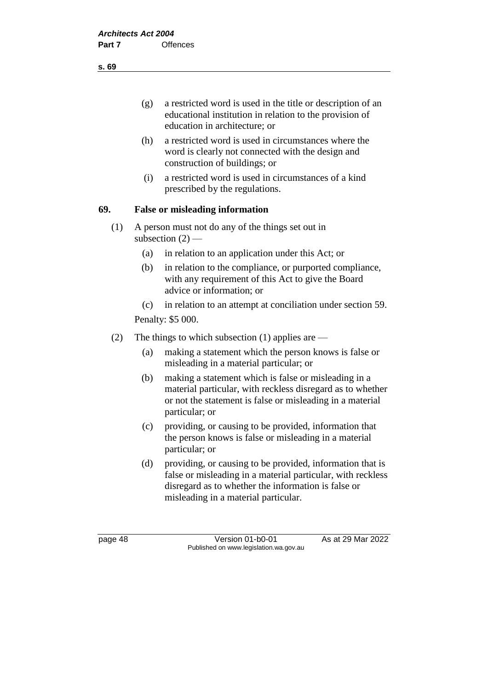- (g) a restricted word is used in the title or description of an educational institution in relation to the provision of education in architecture; or
- (h) a restricted word is used in circumstances where the word is clearly not connected with the design and construction of buildings; or
- (i) a restricted word is used in circumstances of a kind prescribed by the regulations.

## **69. False or misleading information**

- (1) A person must not do any of the things set out in subsection  $(2)$  —
	- (a) in relation to an application under this Act; or
	- (b) in relation to the compliance, or purported compliance, with any requirement of this Act to give the Board advice or information; or
	- (c) in relation to an attempt at conciliation under section 59.

Penalty: \$5 000.

- (2) The things to which subsection (1) applies are
	- (a) making a statement which the person knows is false or misleading in a material particular; or
	- (b) making a statement which is false or misleading in a material particular, with reckless disregard as to whether or not the statement is false or misleading in a material particular; or
	- (c) providing, or causing to be provided, information that the person knows is false or misleading in a material particular; or
	- (d) providing, or causing to be provided, information that is false or misleading in a material particular, with reckless disregard as to whether the information is false or misleading in a material particular.

page 48 Version 01-b0-01 As at 29 Mar 2022 Published on www.legislation.wa.gov.au

**s. 69**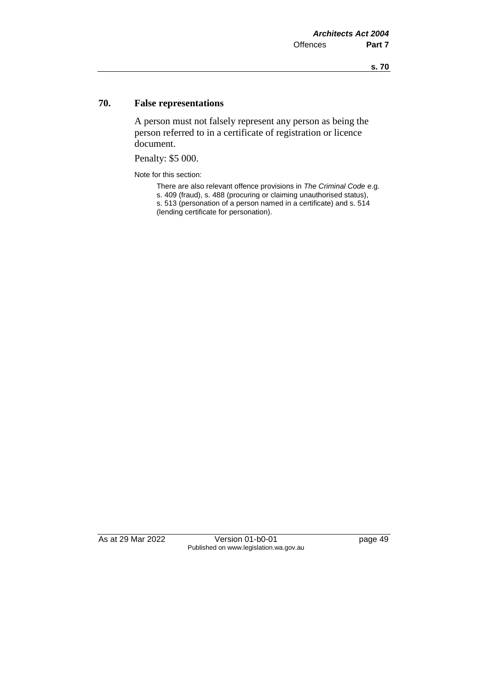### **70. False representations**

A person must not falsely represent any person as being the person referred to in a certificate of registration or licence document.

Penalty: \$5 000.

Note for this section:

There are also relevant offence provisions in *The Criminal Code* e.g.

s. 409 (fraud), s. 488 (procuring or claiming unauthorised status), s. 513 (personation of a person named in a certificate) and s. 514

(lending certificate for personation).

As at 29 Mar 2022 Version 01-b0-01 page 49 Published on www.legislation.wa.gov.au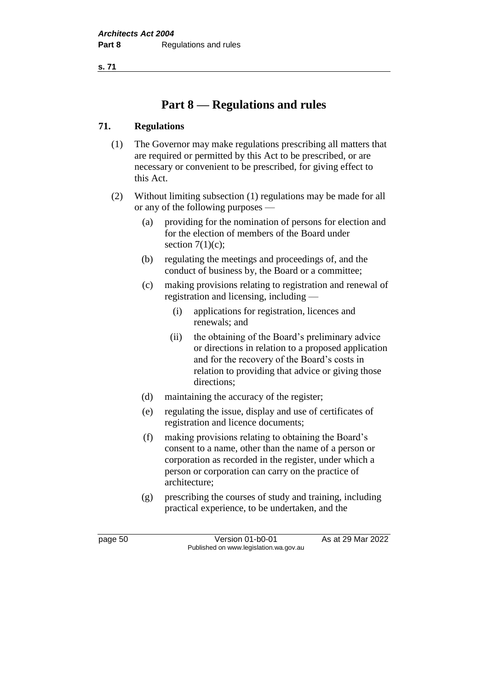**s. 71**

# **Part 8 — Regulations and rules**

## **71. Regulations**

- (1) The Governor may make regulations prescribing all matters that are required or permitted by this Act to be prescribed, or are necessary or convenient to be prescribed, for giving effect to this Act.
- (2) Without limiting subsection (1) regulations may be made for all or any of the following purposes —
	- (a) providing for the nomination of persons for election and for the election of members of the Board under section  $7(1)(c)$ ;
	- (b) regulating the meetings and proceedings of, and the conduct of business by, the Board or a committee;
	- (c) making provisions relating to registration and renewal of registration and licensing, including —
		- (i) applications for registration, licences and renewals; and
		- (ii) the obtaining of the Board's preliminary advice or directions in relation to a proposed application and for the recovery of the Board's costs in relation to providing that advice or giving those directions;
	- (d) maintaining the accuracy of the register;
	- (e) regulating the issue, display and use of certificates of registration and licence documents;
	- (f) making provisions relating to obtaining the Board's consent to a name, other than the name of a person or corporation as recorded in the register, under which a person or corporation can carry on the practice of architecture;
	- (g) prescribing the courses of study and training, including practical experience, to be undertaken, and the

page 50 Version 01-b0-01 As at 29 Mar 2022 Published on www.legislation.wa.gov.au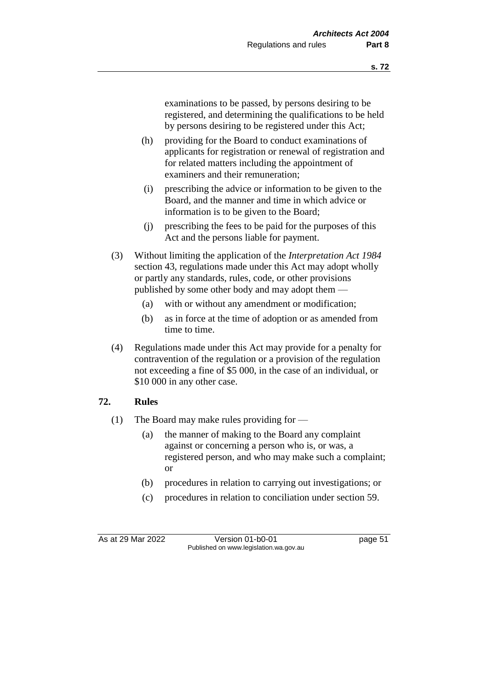examinations to be passed, by persons desiring to be registered, and determining the qualifications to be held by persons desiring to be registered under this Act;

- (h) providing for the Board to conduct examinations of applicants for registration or renewal of registration and for related matters including the appointment of examiners and their remuneration;
- (i) prescribing the advice or information to be given to the Board, and the manner and time in which advice or information is to be given to the Board;
- (j) prescribing the fees to be paid for the purposes of this Act and the persons liable for payment.
- (3) Without limiting the application of the *Interpretation Act 1984* section 43, regulations made under this Act may adopt wholly or partly any standards, rules, code, or other provisions published by some other body and may adopt them —
	- (a) with or without any amendment or modification;
	- (b) as in force at the time of adoption or as amended from time to time.
- (4) Regulations made under this Act may provide for a penalty for contravention of the regulation or a provision of the regulation not exceeding a fine of \$5 000, in the case of an individual, or \$10 000 in any other case.

## **72. Rules**

- (1) The Board may make rules providing for
	- (a) the manner of making to the Board any complaint against or concerning a person who is, or was, a registered person, and who may make such a complaint; or
	- (b) procedures in relation to carrying out investigations; or
	- (c) procedures in relation to conciliation under section 59.

As at 29 Mar 2022 Version 01-b0-01 page 51 Published on www.legislation.wa.gov.au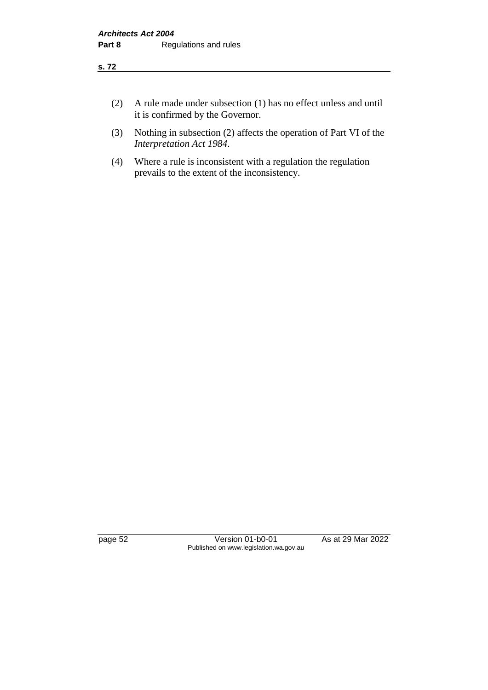- (2) A rule made under subsection (1) has no effect unless and until it is confirmed by the Governor.
- (3) Nothing in subsection (2) affects the operation of Part VI of the *Interpretation Act 1984*.
- (4) Where a rule is inconsistent with a regulation the regulation prevails to the extent of the inconsistency.

page 52 Version 01-b0-01 As at 29 Mar 2022 Published on www.legislation.wa.gov.au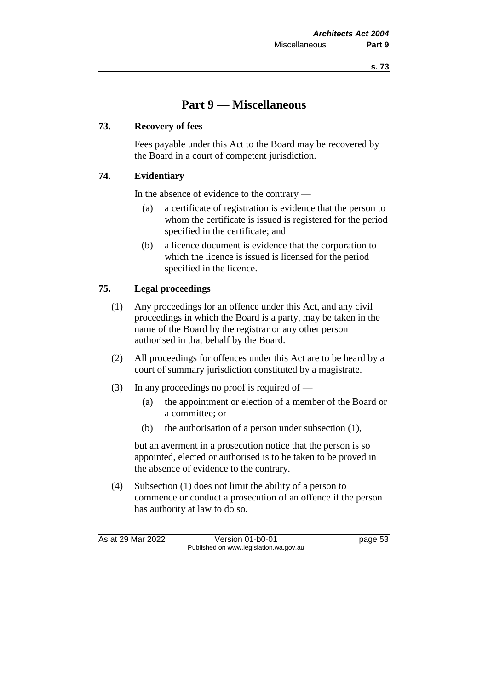# **Part 9 — Miscellaneous**

## **73. Recovery of fees**

Fees payable under this Act to the Board may be recovered by the Board in a court of competent jurisdiction.

# **74. Evidentiary**

In the absence of evidence to the contrary —

- (a) a certificate of registration is evidence that the person to whom the certificate is issued is registered for the period specified in the certificate; and
- (b) a licence document is evidence that the corporation to which the licence is issued is licensed for the period specified in the licence.

# **75. Legal proceedings**

- (1) Any proceedings for an offence under this Act, and any civil proceedings in which the Board is a party, may be taken in the name of the Board by the registrar or any other person authorised in that behalf by the Board.
- (2) All proceedings for offences under this Act are to be heard by a court of summary jurisdiction constituted by a magistrate.
- (3) In any proceedings no proof is required of
	- (a) the appointment or election of a member of the Board or a committee; or
	- (b) the authorisation of a person under subsection (1),

but an averment in a prosecution notice that the person is so appointed, elected or authorised is to be taken to be proved in the absence of evidence to the contrary.

(4) Subsection (1) does not limit the ability of a person to commence or conduct a prosecution of an offence if the person has authority at law to do so.

As at 29 Mar 2022 Version 01-b0-01 page 53 Published on www.legislation.wa.gov.au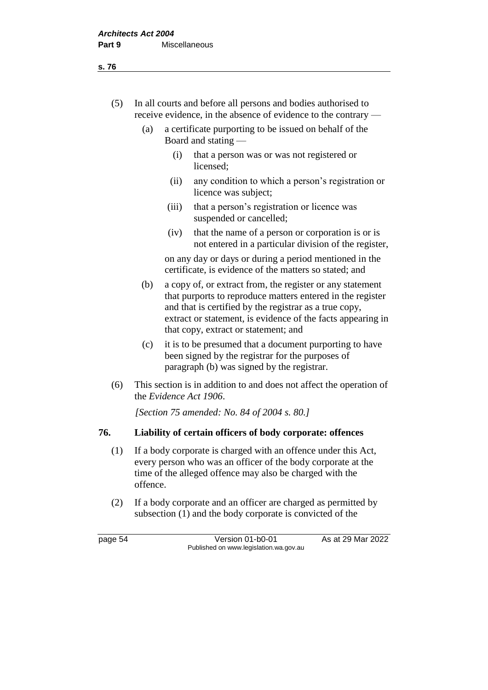- (5) In all courts and before all persons and bodies authorised to receive evidence, in the absence of evidence to the contrary —
	- (a) a certificate purporting to be issued on behalf of the Board and stating —
		- (i) that a person was or was not registered or licensed;
		- (ii) any condition to which a person's registration or licence was subject;
		- (iii) that a person's registration or licence was suspended or cancelled;
		- (iv) that the name of a person or corporation is or is not entered in a particular division of the register,

on any day or days or during a period mentioned in the certificate, is evidence of the matters so stated; and

- (b) a copy of, or extract from, the register or any statement that purports to reproduce matters entered in the register and that is certified by the registrar as a true copy, extract or statement, is evidence of the facts appearing in that copy, extract or statement; and
- (c) it is to be presumed that a document purporting to have been signed by the registrar for the purposes of paragraph (b) was signed by the registrar.
- (6) This section is in addition to and does not affect the operation of the *Evidence Act 1906*.

*[Section 75 amended: No. 84 of 2004 s. 80.]*

## **76. Liability of certain officers of body corporate: offences**

- (1) If a body corporate is charged with an offence under this Act, every person who was an officer of the body corporate at the time of the alleged offence may also be charged with the offence.
- (2) If a body corporate and an officer are charged as permitted by subsection (1) and the body corporate is convicted of the

page 54 Version 01-b0-01 As at 29 Mar 2022 Published on www.legislation.wa.gov.au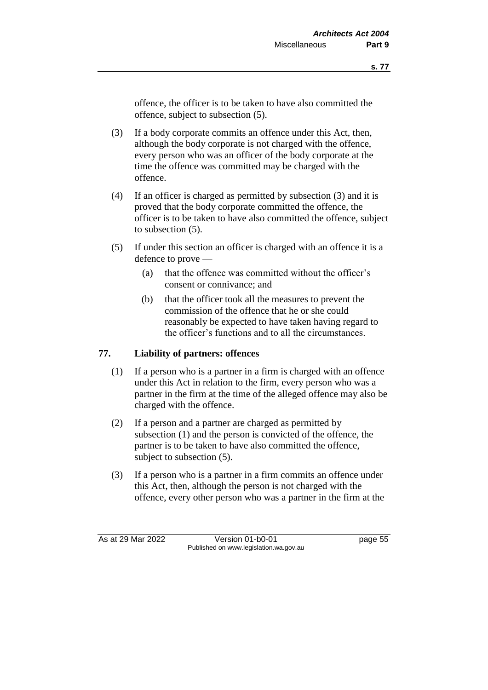offence, the officer is to be taken to have also committed the offence, subject to subsection (5).

- (3) If a body corporate commits an offence under this Act, then, although the body corporate is not charged with the offence, every person who was an officer of the body corporate at the time the offence was committed may be charged with the offence.
- (4) If an officer is charged as permitted by subsection (3) and it is proved that the body corporate committed the offence, the officer is to be taken to have also committed the offence, subject to subsection (5).
- (5) If under this section an officer is charged with an offence it is a defence to prove —
	- (a) that the offence was committed without the officer's consent or connivance; and
	- (b) that the officer took all the measures to prevent the commission of the offence that he or she could reasonably be expected to have taken having regard to the officer's functions and to all the circumstances.

## **77. Liability of partners: offences**

- (1) If a person who is a partner in a firm is charged with an offence under this Act in relation to the firm, every person who was a partner in the firm at the time of the alleged offence may also be charged with the offence.
- (2) If a person and a partner are charged as permitted by subsection (1) and the person is convicted of the offence, the partner is to be taken to have also committed the offence, subject to subsection (5).
- (3) If a person who is a partner in a firm commits an offence under this Act, then, although the person is not charged with the offence, every other person who was a partner in the firm at the

As at 29 Mar 2022 Version 01-b0-01 page 55 Published on www.legislation.wa.gov.au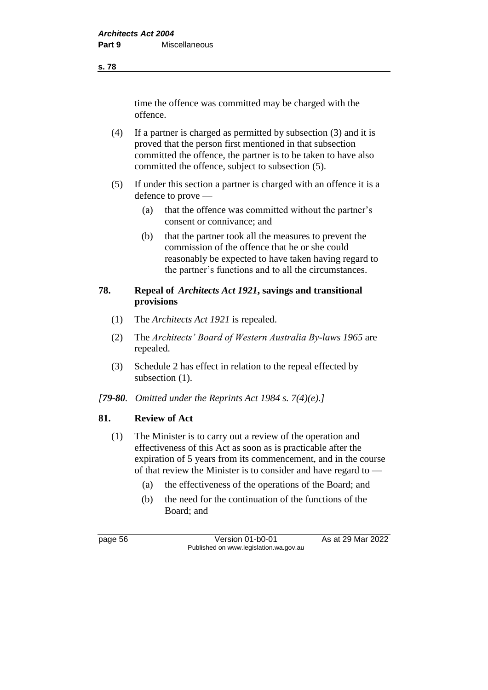**s. 78**

time the offence was committed may be charged with the offence.

- (4) If a partner is charged as permitted by subsection (3) and it is proved that the person first mentioned in that subsection committed the offence, the partner is to be taken to have also committed the offence, subject to subsection (5).
- (5) If under this section a partner is charged with an offence it is a defence to prove —
	- (a) that the offence was committed without the partner's consent or connivance; and
	- (b) that the partner took all the measures to prevent the commission of the offence that he or she could reasonably be expected to have taken having regard to the partner's functions and to all the circumstances.

# **78. Repeal of** *Architects Act 1921***, savings and transitional provisions**

- (1) The *Architects Act 1921* is repealed.
- (2) The *Architects' Board of Western Australia By-laws 1965* are repealed.
- (3) Schedule 2 has effect in relation to the repeal effected by subsection  $(1)$ .
- *[79-80. Omitted under the Reprints Act 1984 s. 7(4)(e).]*

# **81. Review of Act**

- (1) The Minister is to carry out a review of the operation and effectiveness of this Act as soon as is practicable after the expiration of 5 years from its commencement, and in the course of that review the Minister is to consider and have regard to —
	- (a) the effectiveness of the operations of the Board; and
	- (b) the need for the continuation of the functions of the Board; and

page 56 Version 01-b0-01 As at 29 Mar 2022 Published on www.legislation.wa.gov.au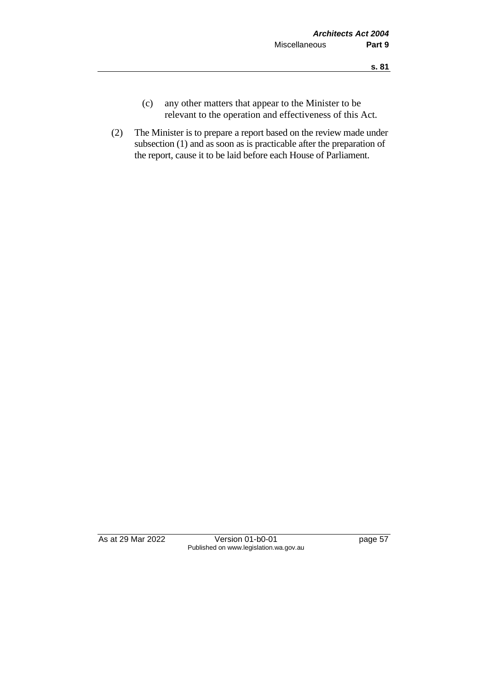- (c) any other matters that appear to the Minister to be relevant to the operation and effectiveness of this Act.
- (2) The Minister is to prepare a report based on the review made under subsection (1) and as soon as is practicable after the preparation of the report, cause it to be laid before each House of Parliament.

As at 29 Mar 2022 Version 01-b0-01 page 57 Published on www.legislation.wa.gov.au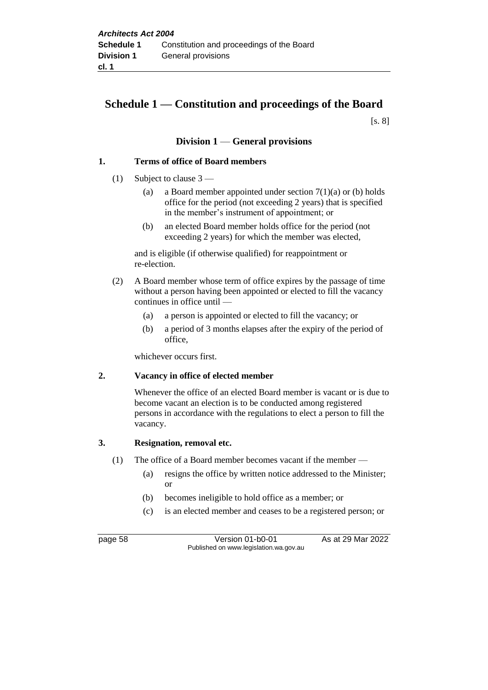# **Schedule 1 — Constitution and proceedings of the Board**

[s. 8]

#### **Division 1** — **General provisions**

#### **1. Terms of office of Board members**

- (1) Subject to clause 3
	- (a) a Board member appointed under section  $7(1)(a)$  or (b) holds office for the period (not exceeding 2 years) that is specified in the member's instrument of appointment; or
	- (b) an elected Board member holds office for the period (not exceeding 2 years) for which the member was elected,

and is eligible (if otherwise qualified) for reappointment or re-election.

- (2) A Board member whose term of office expires by the passage of time without a person having been appointed or elected to fill the vacancy continues in office until —
	- (a) a person is appointed or elected to fill the vacancy; or
	- (b) a period of 3 months elapses after the expiry of the period of office,

whichever occurs first.

#### **2. Vacancy in office of elected member**

Whenever the office of an elected Board member is vacant or is due to become vacant an election is to be conducted among registered persons in accordance with the regulations to elect a person to fill the vacancy.

#### **3. Resignation, removal etc.**

- (1) The office of a Board member becomes vacant if the member
	- (a) resigns the office by written notice addressed to the Minister; or
	- (b) becomes ineligible to hold office as a member; or
	- (c) is an elected member and ceases to be a registered person; or

page 58 Version 01-b0-01 As at 29 Mar 2022 Published on www.legislation.wa.gov.au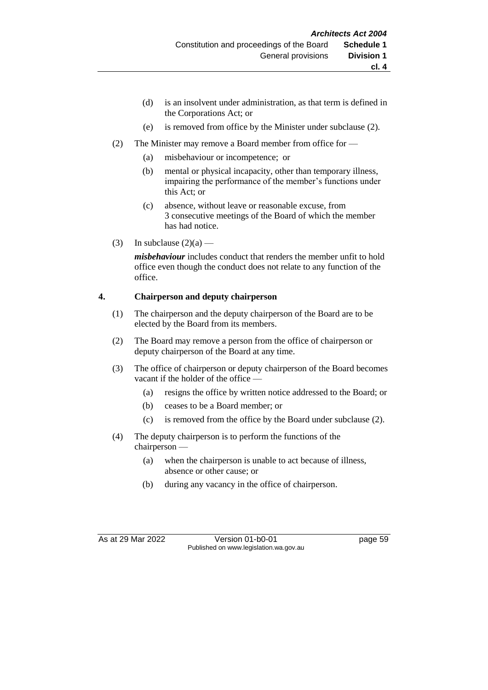- (d) is an insolvent under administration, as that term is defined in the Corporations Act; or
- (e) is removed from office by the Minister under subclause (2).
- (2) The Minister may remove a Board member from office for
	- (a) misbehaviour or incompetence; or
	- (b) mental or physical incapacity, other than temporary illness, impairing the performance of the member's functions under this Act; or
	- (c) absence, without leave or reasonable excuse, from 3 consecutive meetings of the Board of which the member has had notice.
- (3) In subclause  $(2)(a)$  —

*misbehaviour* includes conduct that renders the member unfit to hold office even though the conduct does not relate to any function of the office.

#### **4. Chairperson and deputy chairperson**

- (1) The chairperson and the deputy chairperson of the Board are to be elected by the Board from its members.
- (2) The Board may remove a person from the office of chairperson or deputy chairperson of the Board at any time.
- (3) The office of chairperson or deputy chairperson of the Board becomes vacant if the holder of the office —
	- (a) resigns the office by written notice addressed to the Board; or
	- (b) ceases to be a Board member; or
	- (c) is removed from the office by the Board under subclause (2).
- (4) The deputy chairperson is to perform the functions of the chairperson —
	- (a) when the chairperson is unable to act because of illness, absence or other cause; or
	- (b) during any vacancy in the office of chairperson.

As at 29 Mar 2022 Version 01-b0-01 page 59 Published on www.legislation.wa.gov.au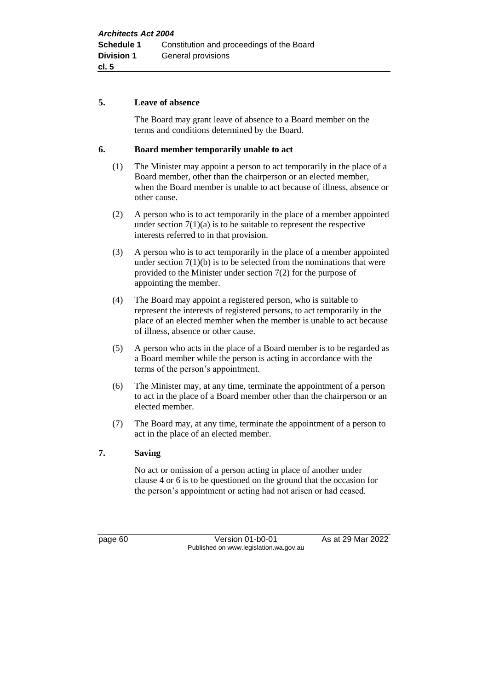#### **5. Leave of absence**

The Board may grant leave of absence to a Board member on the terms and conditions determined by the Board.

#### **6. Board member temporarily unable to act**

- (1) The Minister may appoint a person to act temporarily in the place of a Board member, other than the chairperson or an elected member, when the Board member is unable to act because of illness, absence or other cause.
- (2) A person who is to act temporarily in the place of a member appointed under section  $7(1)(a)$  is to be suitable to represent the respective interests referred to in that provision.
- (3) A person who is to act temporarily in the place of a member appointed under section  $7(1)(b)$  is to be selected from the nominations that were provided to the Minister under section 7(2) for the purpose of appointing the member.
- (4) The Board may appoint a registered person, who is suitable to represent the interests of registered persons, to act temporarily in the place of an elected member when the member is unable to act because of illness, absence or other cause.
- (5) A person who acts in the place of a Board member is to be regarded as a Board member while the person is acting in accordance with the terms of the person's appointment.
- (6) The Minister may, at any time, terminate the appointment of a person to act in the place of a Board member other than the chairperson or an elected member.
- (7) The Board may, at any time, terminate the appointment of a person to act in the place of an elected member.

#### **7. Saving**

No act or omission of a person acting in place of another under clause 4 or 6 is to be questioned on the ground that the occasion for the person's appointment or acting had not arisen or had ceased.

page 60 **Version 01-b0-01** As at 29 Mar 2022 Published on www.legislation.wa.gov.au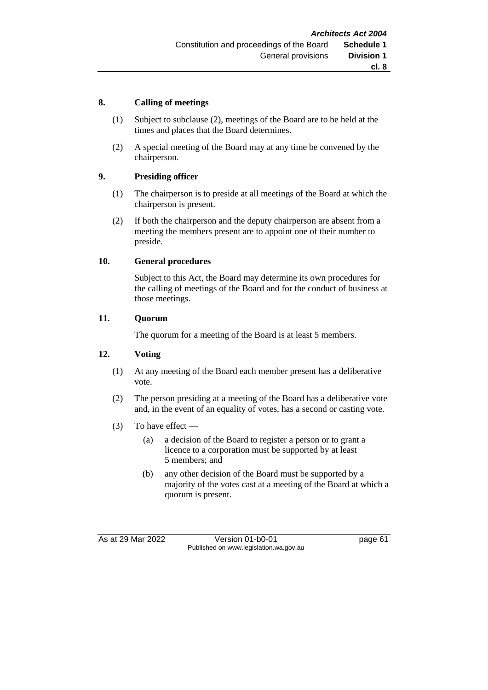#### **8. Calling of meetings**

- (1) Subject to subclause (2), meetings of the Board are to be held at the times and places that the Board determines.
- (2) A special meeting of the Board may at any time be convened by the chairperson.

#### **9. Presiding officer**

- (1) The chairperson is to preside at all meetings of the Board at which the chairperson is present.
- (2) If both the chairperson and the deputy chairperson are absent from a meeting the members present are to appoint one of their number to preside.

#### **10. General procedures**

Subject to this Act, the Board may determine its own procedures for the calling of meetings of the Board and for the conduct of business at those meetings.

#### **11. Quorum**

The quorum for a meeting of the Board is at least 5 members.

#### **12. Voting**

- (1) At any meeting of the Board each member present has a deliberative vote.
- (2) The person presiding at a meeting of the Board has a deliberative vote and, in the event of an equality of votes, has a second or casting vote.
- (3) To have effect
	- (a) a decision of the Board to register a person or to grant a licence to a corporation must be supported by at least 5 members; and
	- (b) any other decision of the Board must be supported by a majority of the votes cast at a meeting of the Board at which a quorum is present.

As at 29 Mar 2022 Version 01-b0-01 page 61 Published on www.legislation.wa.gov.au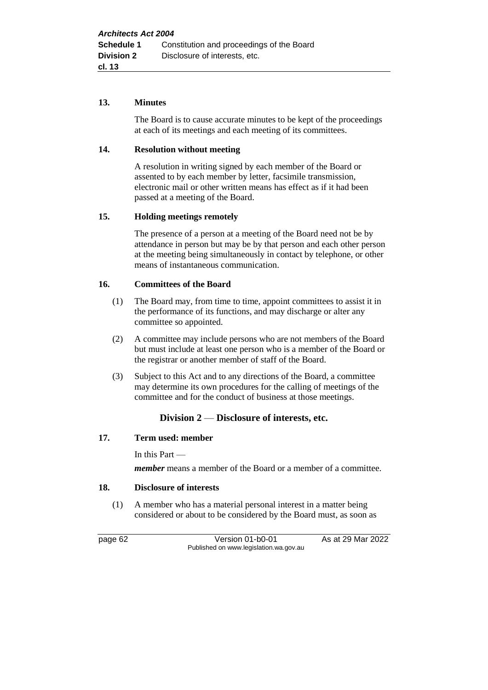#### **13. Minutes**

The Board is to cause accurate minutes to be kept of the proceedings at each of its meetings and each meeting of its committees.

#### **14. Resolution without meeting**

A resolution in writing signed by each member of the Board or assented to by each member by letter, facsimile transmission, electronic mail or other written means has effect as if it had been passed at a meeting of the Board.

#### **15. Holding meetings remotely**

The presence of a person at a meeting of the Board need not be by attendance in person but may be by that person and each other person at the meeting being simultaneously in contact by telephone, or other means of instantaneous communication.

#### **16. Committees of the Board**

- (1) The Board may, from time to time, appoint committees to assist it in the performance of its functions, and may discharge or alter any committee so appointed.
- (2) A committee may include persons who are not members of the Board but must include at least one person who is a member of the Board or the registrar or another member of staff of the Board.
- (3) Subject to this Act and to any directions of the Board, a committee may determine its own procedures for the calling of meetings of the committee and for the conduct of business at those meetings.

#### **Division 2** — **Disclosure of interests, etc.**

#### **17. Term used: member**

In this Part —

*member* means a member of the Board or a member of a committee.

#### **18. Disclosure of interests**

(1) A member who has a material personal interest in a matter being considered or about to be considered by the Board must, as soon as

page 62 Version 01-b0-01 As at 29 Mar 2022 Published on www.legislation.wa.gov.au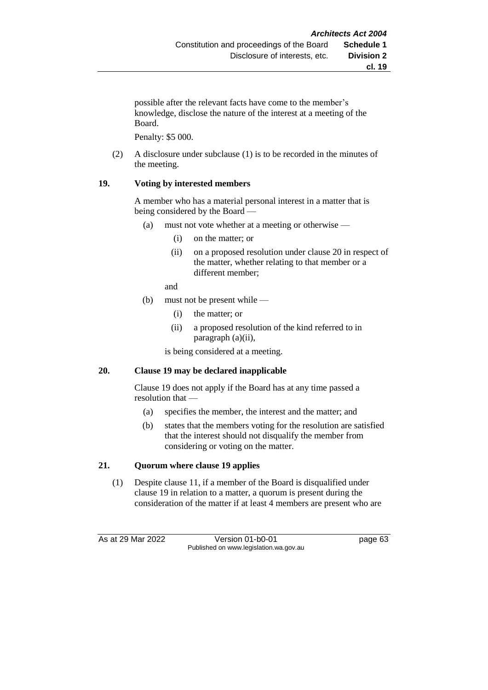possible after the relevant facts have come to the member's knowledge, disclose the nature of the interest at a meeting of the Board.

Penalty: \$5 000.

(2) A disclosure under subclause (1) is to be recorded in the minutes of the meeting.

#### **19. Voting by interested members**

A member who has a material personal interest in a matter that is being considered by the Board —

- (a) must not vote whether at a meeting or otherwise
	- (i) on the matter; or
	- (ii) on a proposed resolution under clause 20 in respect of the matter, whether relating to that member or a different member;

and

- (b) must not be present while
	- (i) the matter; or
	- (ii) a proposed resolution of the kind referred to in paragraph (a)(ii),

is being considered at a meeting.

#### **20. Clause 19 may be declared inapplicable**

Clause 19 does not apply if the Board has at any time passed a resolution that —

- (a) specifies the member, the interest and the matter; and
- (b) states that the members voting for the resolution are satisfied that the interest should not disqualify the member from considering or voting on the matter.

#### **21. Quorum where clause 19 applies**

(1) Despite clause 11, if a member of the Board is disqualified under clause 19 in relation to a matter, a quorum is present during the consideration of the matter if at least 4 members are present who are

As at 29 Mar 2022 Version 01-b0-01 page 63 Published on www.legislation.wa.gov.au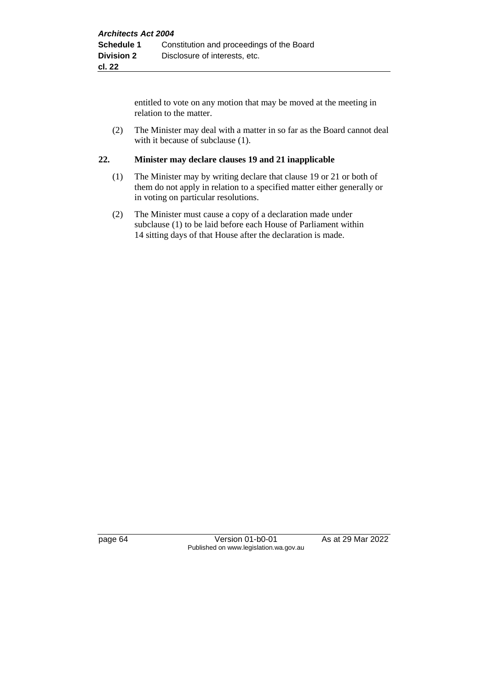entitled to vote on any motion that may be moved at the meeting in relation to the matter.

(2) The Minister may deal with a matter in so far as the Board cannot deal with it because of subclause  $(1)$ .

#### **22. Minister may declare clauses 19 and 21 inapplicable**

- (1) The Minister may by writing declare that clause 19 or 21 or both of them do not apply in relation to a specified matter either generally or in voting on particular resolutions.
- (2) The Minister must cause a copy of a declaration made under subclause (1) to be laid before each House of Parliament within 14 sitting days of that House after the declaration is made.

page 64 Version 01-b0-01 As at 29 Mar 2022 Published on www.legislation.wa.gov.au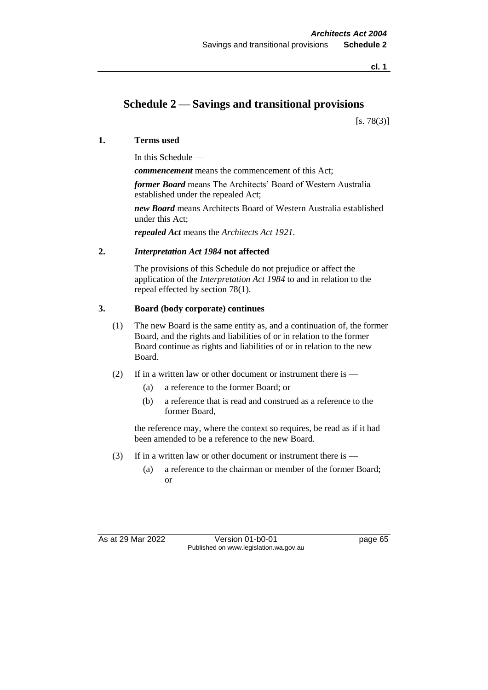**cl. 1**

## **Schedule 2 — Savings and transitional provisions**

 $[s. 78(3)]$ 

#### **1. Terms used**

In this Schedule —

*commencement* means the commencement of this Act;

*former Board* means The Architects' Board of Western Australia established under the repealed Act;

*new Board* means Architects Board of Western Australia established under this Act;

*repealed Act* means the *Architects Act 1921*.

#### **2.** *Interpretation Act 1984* **not affected**

The provisions of this Schedule do not prejudice or affect the application of the *Interpretation Act 1984* to and in relation to the repeal effected by section 78(1).

## **3. Board (body corporate) continues**

- (1) The new Board is the same entity as, and a continuation of, the former Board, and the rights and liabilities of or in relation to the former Board continue as rights and liabilities of or in relation to the new Board.
- (2) If in a written law or other document or instrument there is
	- (a) a reference to the former Board; or
	- (b) a reference that is read and construed as a reference to the former Board,

the reference may, where the context so requires, be read as if it had been amended to be a reference to the new Board.

- (3) If in a written law or other document or instrument there is
	- (a) a reference to the chairman or member of the former Board; or

As at 29 Mar 2022 Version 01-b0-01 page 65 Published on www.legislation.wa.gov.au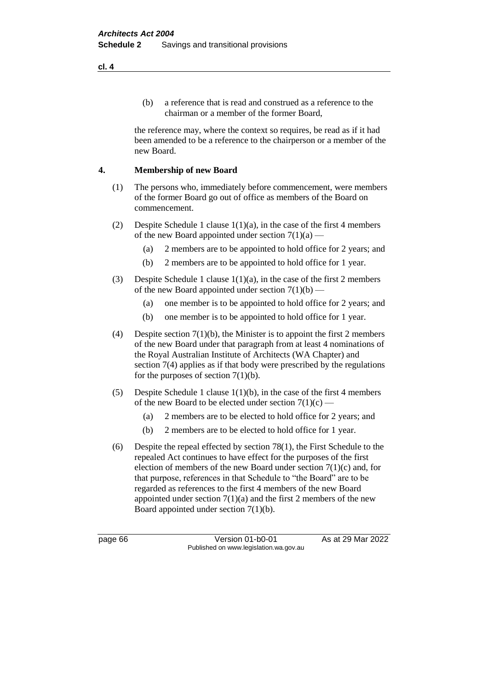(b) a reference that is read and construed as a reference to the chairman or a member of the former Board,

the reference may, where the context so requires, be read as if it had been amended to be a reference to the chairperson or a member of the new Board.

#### **4. Membership of new Board**

- (1) The persons who, immediately before commencement, were members of the former Board go out of office as members of the Board on commencement.
- (2) Despite Schedule 1 clause  $1(1)(a)$ , in the case of the first 4 members of the new Board appointed under section  $7(1)(a)$  —
	- (a) 2 members are to be appointed to hold office for 2 years; and
	- (b) 2 members are to be appointed to hold office for 1 year.
- (3) Despite Schedule 1 clause  $1(1)(a)$ , in the case of the first 2 members of the new Board appointed under section  $7(1)(b)$  —
	- (a) one member is to be appointed to hold office for 2 years; and
	- (b) one member is to be appointed to hold office for 1 year.
- (4) Despite section  $7(1)(b)$ , the Minister is to appoint the first 2 members of the new Board under that paragraph from at least 4 nominations of the Royal Australian Institute of Architects (WA Chapter) and section 7(4) applies as if that body were prescribed by the regulations for the purposes of section  $7(1)(b)$ .
- (5) Despite Schedule 1 clause 1(1)(b), in the case of the first 4 members of the new Board to be elected under section  $7(1)(c)$  —
	- (a) 2 members are to be elected to hold office for 2 years; and
	- (b) 2 members are to be elected to hold office for 1 year.
- (6) Despite the repeal effected by section 78(1), the First Schedule to the repealed Act continues to have effect for the purposes of the first election of members of the new Board under section  $7(1)(c)$  and, for that purpose, references in that Schedule to "the Board" are to be regarded as references to the first 4 members of the new Board appointed under section  $7(1)(a)$  and the first 2 members of the new Board appointed under section 7(1)(b).

page 66 **Version 01-b0-01** As at 29 Mar 2022 Published on www.legislation.wa.gov.au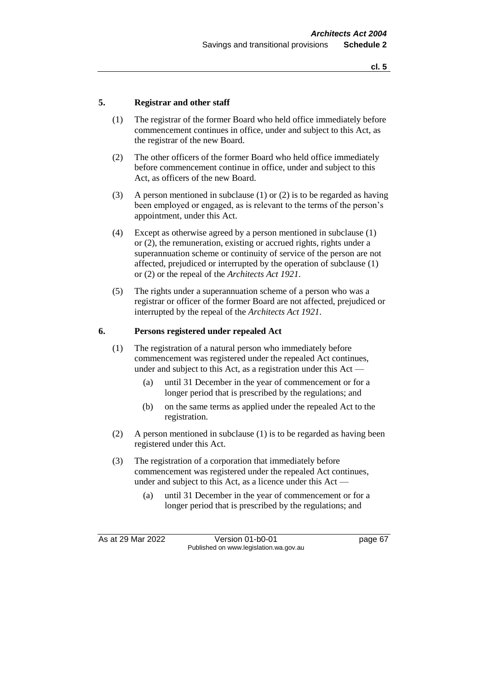#### **5. Registrar and other staff**

- (1) The registrar of the former Board who held office immediately before commencement continues in office, under and subject to this Act, as the registrar of the new Board.
- (2) The other officers of the former Board who held office immediately before commencement continue in office, under and subject to this Act, as officers of the new Board.
- (3) A person mentioned in subclause (1) or (2) is to be regarded as having been employed or engaged, as is relevant to the terms of the person's appointment, under this Act.
- (4) Except as otherwise agreed by a person mentioned in subclause (1) or (2), the remuneration, existing or accrued rights, rights under a superannuation scheme or continuity of service of the person are not affected, prejudiced or interrupted by the operation of subclause (1) or (2) or the repeal of the *Architects Act 1921*.
- (5) The rights under a superannuation scheme of a person who was a registrar or officer of the former Board are not affected, prejudiced or interrupted by the repeal of the *Architects Act 1921*.

#### **6. Persons registered under repealed Act**

- (1) The registration of a natural person who immediately before commencement was registered under the repealed Act continues, under and subject to this Act, as a registration under this Act —
	- (a) until 31 December in the year of commencement or for a longer period that is prescribed by the regulations; and
	- (b) on the same terms as applied under the repealed Act to the registration.
- (2) A person mentioned in subclause (1) is to be regarded as having been registered under this Act.
- (3) The registration of a corporation that immediately before commencement was registered under the repealed Act continues, under and subject to this Act, as a licence under this Act —
	- (a) until 31 December in the year of commencement or for a longer period that is prescribed by the regulations; and

As at 29 Mar 2022 Version 01-b0-01 page 67 Published on www.legislation.wa.gov.au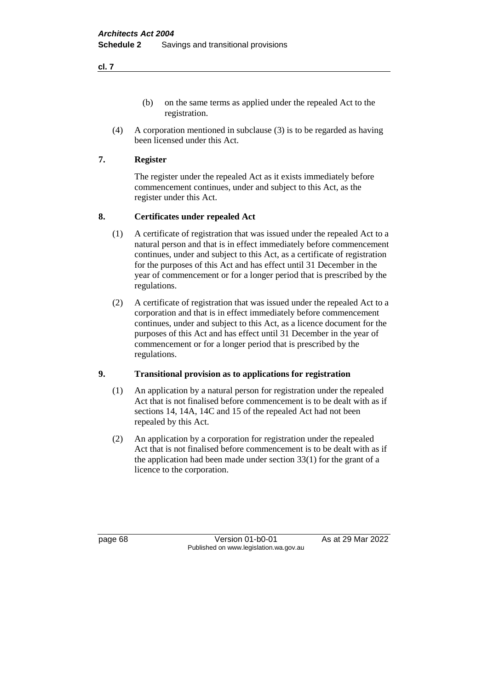- (b) on the same terms as applied under the repealed Act to the registration.
- (4) A corporation mentioned in subclause (3) is to be regarded as having been licensed under this Act.

#### **7. Register**

The register under the repealed Act as it exists immediately before commencement continues, under and subject to this Act, as the register under this Act.

## **8. Certificates under repealed Act**

- (1) A certificate of registration that was issued under the repealed Act to a natural person and that is in effect immediately before commencement continues, under and subject to this Act, as a certificate of registration for the purposes of this Act and has effect until 31 December in the year of commencement or for a longer period that is prescribed by the regulations.
- (2) A certificate of registration that was issued under the repealed Act to a corporation and that is in effect immediately before commencement continues, under and subject to this Act, as a licence document for the purposes of this Act and has effect until 31 December in the year of commencement or for a longer period that is prescribed by the regulations.

## **9. Transitional provision as to applications for registration**

- (1) An application by a natural person for registration under the repealed Act that is not finalised before commencement is to be dealt with as if sections 14, 14A, 14C and 15 of the repealed Act had not been repealed by this Act.
- (2) An application by a corporation for registration under the repealed Act that is not finalised before commencement is to be dealt with as if the application had been made under section 33(1) for the grant of a licence to the corporation.

page 68 Version 01-b0-01 As at 29 Mar 2022 Published on www.legislation.wa.gov.au

**cl. 7**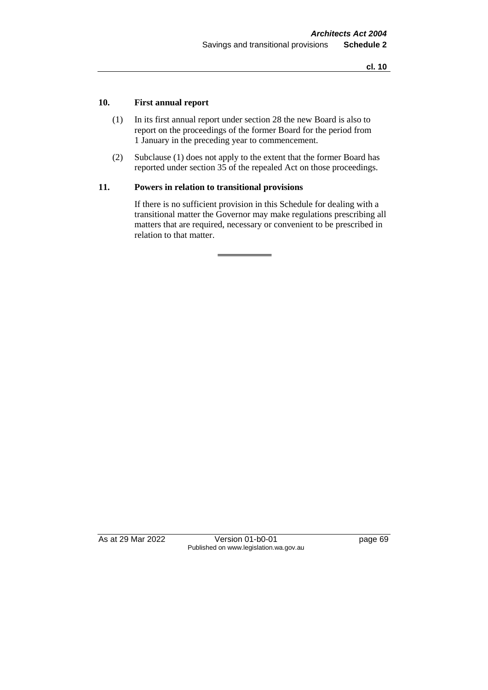#### **10. First annual report**

- (1) In its first annual report under section 28 the new Board is also to report on the proceedings of the former Board for the period from 1 January in the preceding year to commencement.
- (2) Subclause (1) does not apply to the extent that the former Board has reported under section 35 of the repealed Act on those proceedings.

#### **11. Powers in relation to transitional provisions**

If there is no sufficient provision in this Schedule for dealing with a transitional matter the Governor may make regulations prescribing all matters that are required, necessary or convenient to be prescribed in relation to that matter.

As at 29 Mar 2022 Version 01-b0-01 page 69 Published on www.legislation.wa.gov.au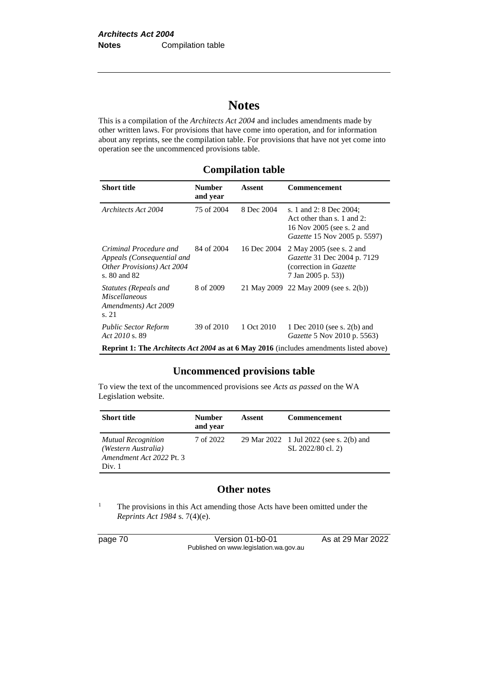# **Notes**

This is a compilation of the *Architects Act 2004* and includes amendments made by other written laws. For provisions that have come into operation, and for information about any reprints, see the compilation table. For provisions that have not yet come into operation see the uncommenced provisions table.

## **Compilation table**

| <b>Short title</b>                                                                                 | <b>Number</b><br>and year | Assent      | Commencement                                                                                                              |  |  |
|----------------------------------------------------------------------------------------------------|---------------------------|-------------|---------------------------------------------------------------------------------------------------------------------------|--|--|
| Architects Act 2004                                                                                | 75 of 2004                | 8 Dec 2004  | s. 1 and 2: 8 Dec 2004;<br>Act other than s. 1 and 2:<br>16 Nov 2005 (see s. 2 and<br><i>Gazette</i> 15 Nov 2005 p. 5597) |  |  |
| Criminal Procedure and<br>Appeals (Consequential and<br>Other Provisions) Act 2004<br>s. 80 and 82 | 84 of 2004                | 16 Dec 2004 | 2 May 2005 (see s. 2 and<br>Gazette 31 Dec 2004 p. 7129<br>(correction in Gazette)<br>7 Jan 2005 p. 53))                  |  |  |
| Statutes (Repeals and<br><i>Miscellaneous</i><br>Amendments) Act 2009<br>s. 21                     | 8 of 2009                 |             | 21 May 2009 22 May 2009 (see s. 2(b))                                                                                     |  |  |
| <b>Public Sector Reform</b><br>Act 2010 s. 89                                                      | 39 of 2010                | 1 Oct 2010  | 1 Dec 2010 (see s. 2(b) and<br><i>Gazette</i> 5 Nov 2010 p. 5563)                                                         |  |  |
| <b>Reprint 1: The Architects Act 2004 as at 6 May 2016</b> (includes amendments listed above)      |                           |             |                                                                                                                           |  |  |

#### **Uncommenced provisions table**

To view the text of the uncommenced provisions see *Acts as passed* on the WA Legislation website.

| <b>Short title</b>                                                                     | <b>Number</b><br>and year | Assent | Commencement                                                 |
|----------------------------------------------------------------------------------------|---------------------------|--------|--------------------------------------------------------------|
| <b>Mutual Recognition</b><br>(Western Australia)<br>Amendment Act 2022 Pt. 3<br>Div. 1 | 7 of 2022                 |        | 29 Mar 2022 1 Jul 2022 (see s. 2(b) and<br>SL 2022/80 cl. 2) |

## **Other notes**

<sup>1</sup> The provisions in this Act amending those Acts have been omitted under the *Reprints Act 1984* s. 7(4)(e).

page 70 Version 01-b0-01 As at 29 Mar 2022 Published on www.legislation.wa.gov.au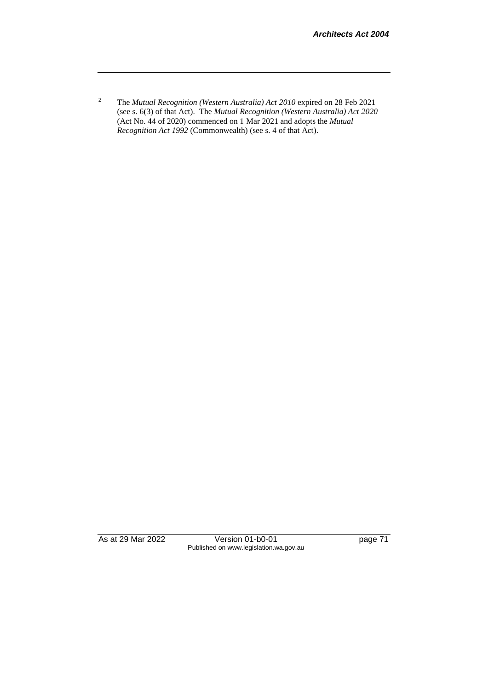<sup>2</sup> The *Mutual Recognition (Western Australia) Act 2010* expired on 28 Feb 2021 (see s. 6(3) of that Act). The *Mutual Recognition (Western Australia) Act 2020*  (Act No. 44 of 2020) commenced on 1 Mar 2021 and adopts the *Mutual Recognition Act 1992* (Commonwealth) (see s. 4 of that Act).

As at 29 Mar 2022 Version 01-b0-01 page 71 Published on www.legislation.wa.gov.au